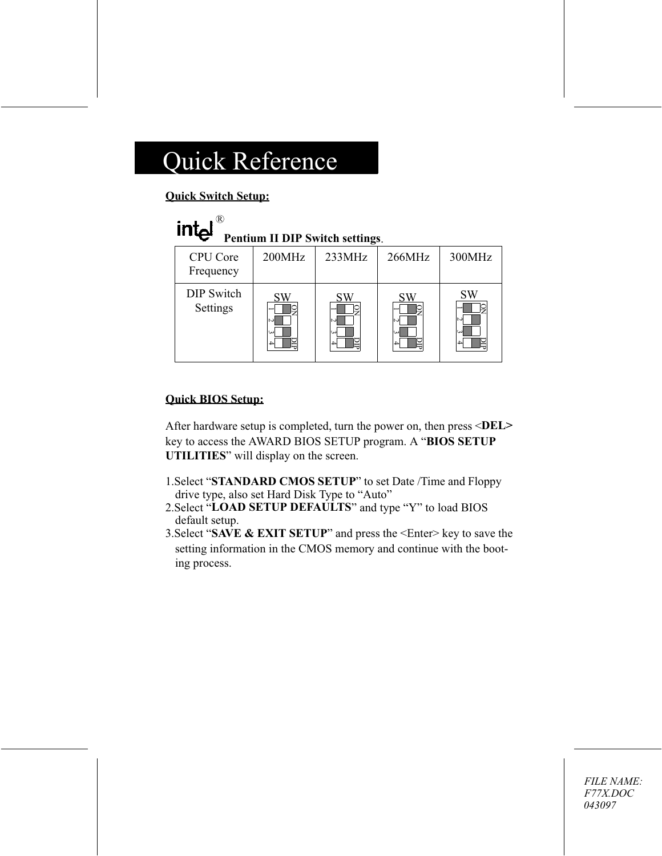#### **Ouick Switch Setup:**

| $int_{e}$<br>Pentium II DIP Switch settings. |        |              |              |          |  |
|----------------------------------------------|--------|--------------|--------------|----------|--|
| <b>CPU</b> Core<br>Frequency                 | 200MHz | 233MHz       | 266MHz       | 300MHz   |  |
| <b>DIP</b> Switch<br>Settings                |        | N<br>نت<br>4 | N<br>نى<br>4 | SW<br>ىئ |  |

#### **Quick BIOS Setup:**

After hardware setup is completed, turn the power on, then press <DEL> key to access the AWARD BIOS SETUP program. A "BIOS SETUP **UTILITIES**" will display on the screen.

- 1. Select "STANDARD CMOS SETUP" to set Date /Time and Floppy drive type, also set Hard Disk Type to "Auto"
- 2. Select "LOAD SETUP DEFAULTS" and type "Y" to load BIOS default setup.
- 3. Select "SAVE & EXIT SETUP" and press the  $\leq$  Enter $\geq$  key to save the setting information in the CMOS memory and continue with the booting process.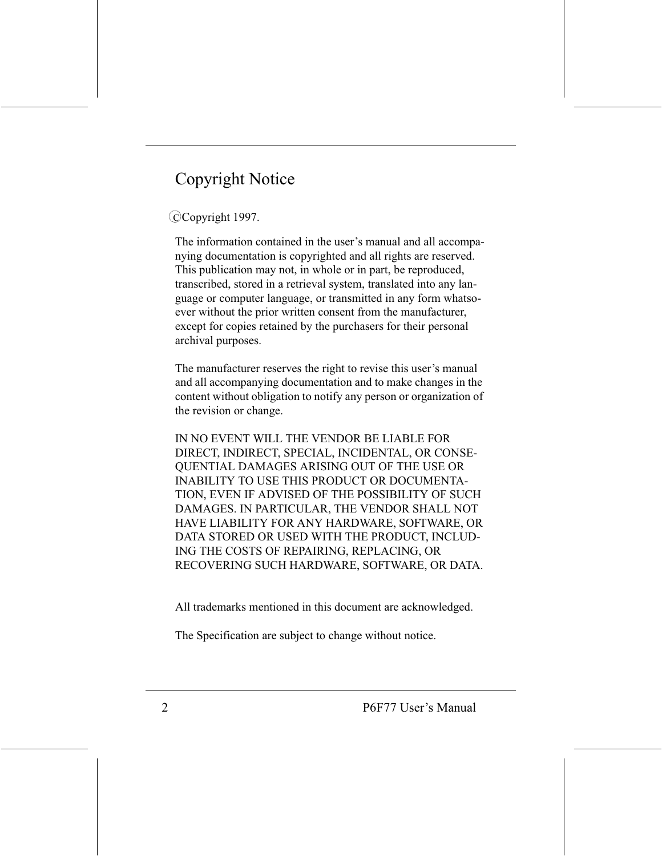# **Copyright Notice**

#### CCopyright 1997.

The information contained in the user's manual and all accompanying documentation is copyrighted and all rights are reserved. This publication may not, in whole or in part, be reproduced, transcribed, stored in a retrieval system, translated into any language or computer language, or transmitted in any form whatsoever without the prior written consent from the manufacturer, except for copies retained by the purchasers for their personal archival purposes.

The manufacturer reserves the right to revise this user's manual and all accompanying documentation and to make changes in the content without obligation to notify any person or organization of the revision or change.

IN NO EVENT WILL THE VENDOR BE LIABLE FOR DIRECT, INDIRECT, SPECIAL, INCIDENTAL, OR CONSE-**OUENTIAL DAMAGES ARISING OUT OF THE USE OR INABILITY TO USE THIS PRODUCT OR DOCUMENTA-**TION, EVEN IF ADVISED OF THE POSSIBILITY OF SUCH DAMAGES. IN PARTICULAR, THE VENDOR SHALL NOT HAVE LIABILITY FOR ANY HARDWARE, SOFTWARE, OR DATA STORED OR USED WITH THE PRODUCT, INCLUD-ING THE COSTS OF REPAIRING, REPLACING, OR RECOVERING SUCH HARDWARE, SOFTWARE, OR DATA.

All trademarks mentioned in this document are acknowledged.

The Specification are subject to change without notice.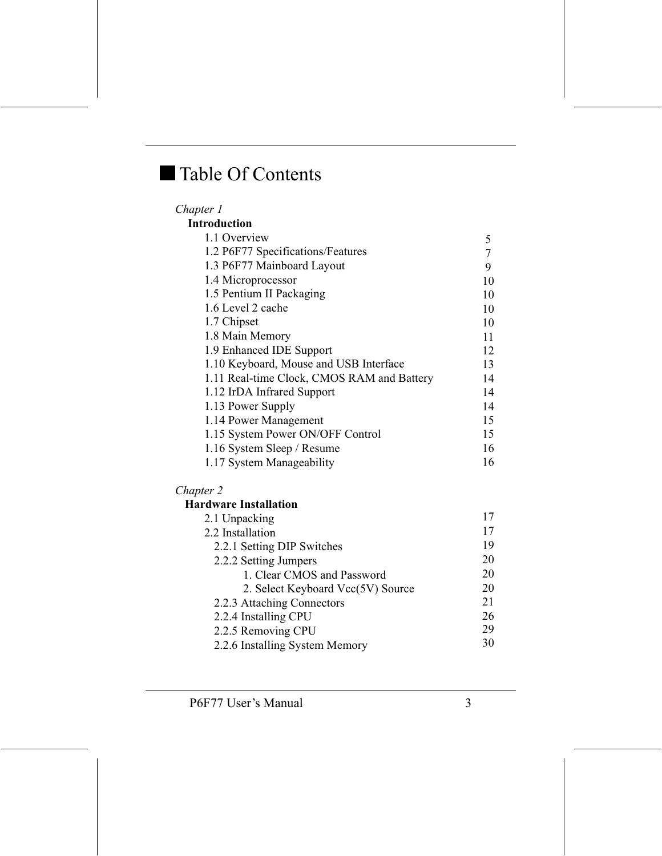# Table Of Contents

| Chapter 1                                  |    |
|--------------------------------------------|----|
| <b>Introduction</b>                        |    |
| 1.1 Overview                               | 5  |
| 1.2 P6F77 Specifications/Features          |    |
| 1.3 P6F77 Mainboard Layout                 | 9  |
| 1.4 Microprocessor                         | 10 |
| 1.5 Pentium II Packaging                   | 10 |
| 1.6 Level 2 cache                          | 10 |
| 1.7 Chipset                                | 10 |
| 1.8 Main Memory                            | 11 |
| 1.9 Enhanced IDE Support                   | 12 |
| 1.10 Keyboard, Mouse and USB Interface     | 13 |
| 1.11 Real-time Clock, CMOS RAM and Battery | 14 |
| 1.12 IrDA Infrared Support                 | 14 |
| 1.13 Power Supply                          | 14 |
| 1.14 Power Management                      | 15 |
| 1.15 System Power ON/OFF Control           | 15 |
| 1.16 System Sleep / Resume                 | 16 |
| 1.17 System Manageability                  | 16 |

#### Chapter 2

#### Hardware Installation

| 2.1 Unpacking                     | 17 |
|-----------------------------------|----|
| 2.2 Installation                  | 17 |
| 2.2.1 Setting DIP Switches        | 19 |
| 2.2.2 Setting Jumpers             | 20 |
| 1. Clear CMOS and Password        | 20 |
| 2. Select Keyboard Vcc(5V) Source | 20 |
| 2.2.3 Attaching Connectors        | 21 |
| 2.2.4 Installing CPU              | 26 |
| 2.2.5 Removing CPU                | 29 |
| 2.2.6 Installing System Memory    | 30 |
|                                   |    |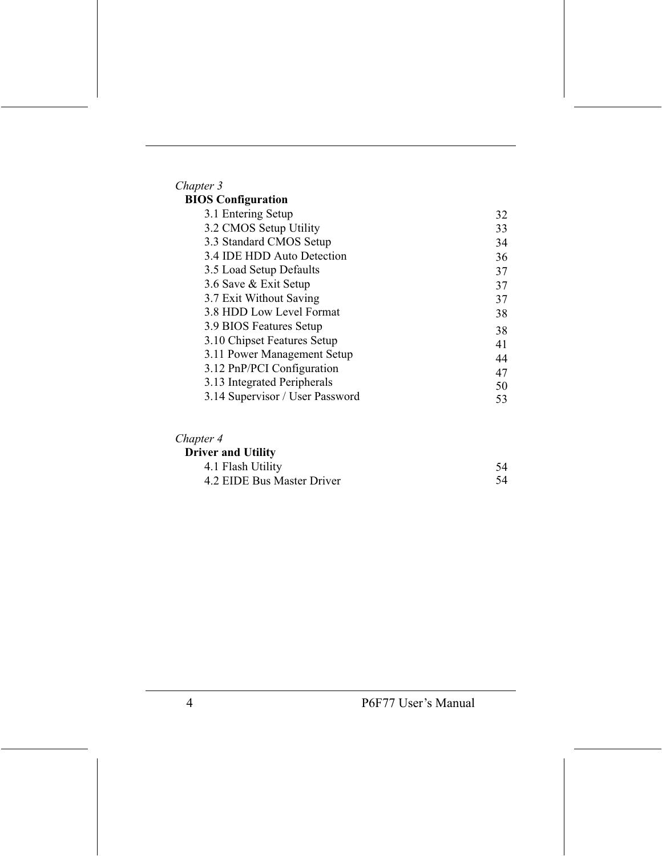# Chapter 3<br>**BIOS Co**

| <b>IOS Configuration</b>        |    |
|---------------------------------|----|
| 3.1 Entering Setup              | 32 |
| 3.2 CMOS Setup Utility          | 33 |
| 3.3 Standard CMOS Setup         | 34 |
| 3.4 IDE HDD Auto Detection      | 36 |
| 3.5 Load Setup Defaults         | 37 |
| 3.6 Save & Exit Setup           | 37 |
| 3.7 Exit Without Saving         | 37 |
| 3.8 HDD Low Level Format        | 38 |
| 3.9 BIOS Features Setup         | 38 |
| 3.10 Chipset Features Setup     | 41 |
| 3.11 Power Management Setup     | 44 |
| 3.12 PnP/PCI Configuration      | 47 |
| 3.13 Integrated Peripherals     | 50 |
| 3.14 Supervisor / User Password | 53 |
|                                 |    |

#### Chapter 4

| <b>Driver and Utility</b>  |  |
|----------------------------|--|
| 4.1 Flash Utility          |  |
| 4.2 EIDE Bus Master Driver |  |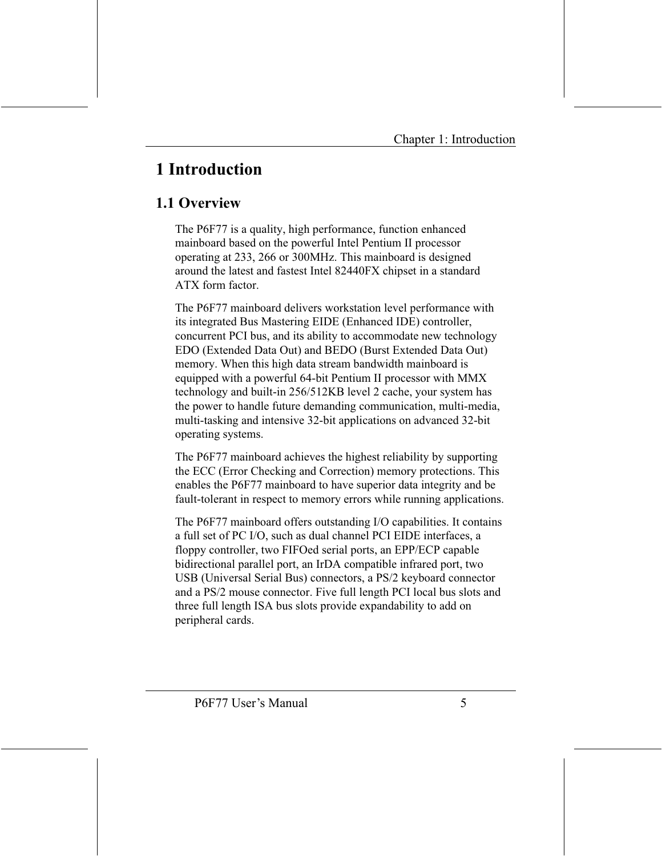# 1 Introduction

### 1.1 Overview

The P6F77 is a quality, high performance, function enhanced mainboard based on the powerful Intel Pentium II processor operating at 233, 266 or 300MHz. This mainboard is designed around the latest and fastest Intel 82440FX chipset in a standard ATX form factor

The P6F77 mainboard delivers workstation level performance with its integrated Bus Mastering EIDE (Enhanced IDE) controller, concurrent PCI bus, and its ability to accommodate new technology EDO (Extended Data Out) and BEDO (Burst Extended Data Out) memory. When this high data stream bandwidth mainboard is equipped with a powerful 64-bit Pentium II processor with MMX technology and built-in 256/512KB level 2 cache, your system has the power to handle future demanding communication, multi-media, multi-tasking and intensive 32-bit applications on advanced 32-bit operating systems.

The P6F77 mainboard achieves the highest reliability by supporting the ECC (Error Checking and Correction) memory protections. This enables the P6F77 mainboard to have superior data integrity and be fault-tolerant in respect to memory errors while running applications.

The P6F77 mainboard offers outstanding I/O capabilities. It contains a full set of PC I/O, such as dual channel PCI EIDE interfaces, a floppy controller, two FIFOed serial ports, an EPP/ECP capable bidirectional parallel port, an IrDA compatible infrared port, two USB (Universal Serial Bus) connectors, a PS/2 keyboard connector and a PS/2 mouse connector. Five full length PCI local bus slots and three full length ISA bus slots provide expandability to add on peripheral cards.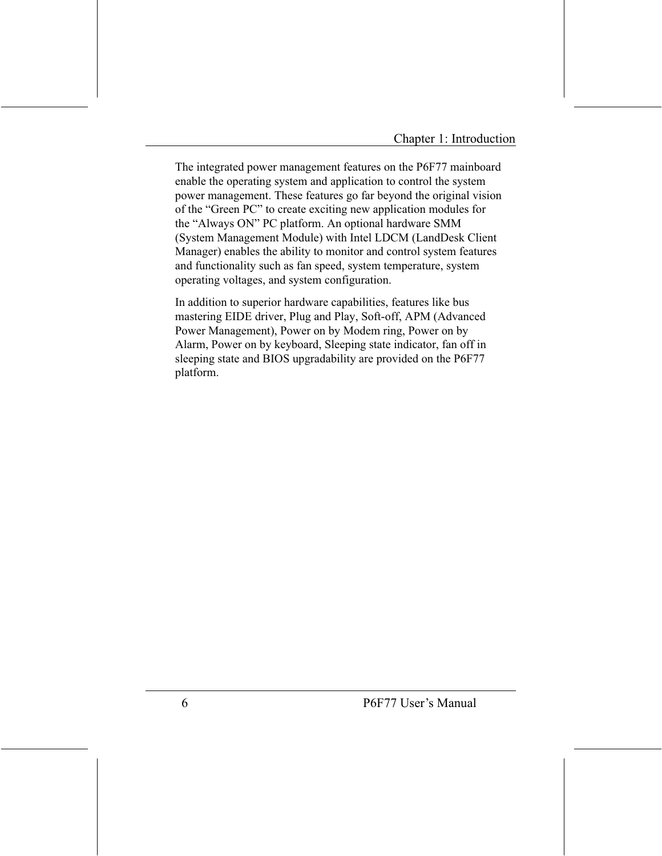The integrated power management features on the P6F77 mainboard enable the operating system and application to control the system power management. These features go far beyond the original vision of the "Green PC" to create exciting new application modules for the "Always ON" PC platform. An optional hardware SMM (System Management Module) with Intel LDCM (LandDesk Client Manager) enables the ability to monitor and control system features and functionality such as fan speed, system temperature, system operating voltages, and system configuration.

In addition to superior hardware capabilities, features like bus mastering EIDE driver, Plug and Play, Soft-off, APM (Advanced Power Management), Power on by Modem ring, Power on by Alarm, Power on by keyboard, Sleeping state indicator, fan off in sleeping state and BIOS upgradability are provided on the P6F77 platform.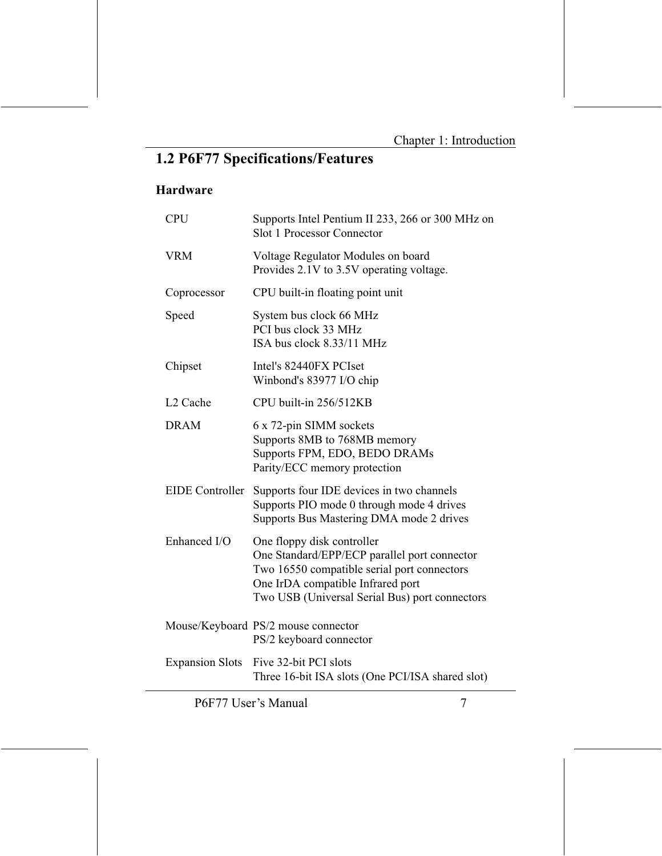## 1.2 P6F77 Specifications/Features

#### Hardware

| <b>CPU</b>             | Supports Intel Pentium II 233, 266 or 300 MHz on<br><b>Slot 1 Processor Connector</b>                                                                                                                            |
|------------------------|------------------------------------------------------------------------------------------------------------------------------------------------------------------------------------------------------------------|
| <b>VRM</b>             | Voltage Regulator Modules on board<br>Provides 2.1V to 3.5V operating voltage.                                                                                                                                   |
| Coprocessor            | CPU built-in floating point unit                                                                                                                                                                                 |
| Speed                  | System bus clock 66 MHz<br>PCI bus clock 33 MHz<br>ISA bus clock 8.33/11 MHz                                                                                                                                     |
| Chipset                | Intel's 82440FX PCIset<br>Winbond's 83977 I/O chip                                                                                                                                                               |
| L <sub>2</sub> Cache   | CPU built-in 256/512KB                                                                                                                                                                                           |
| <b>DRAM</b>            | 6 x 72-pin SIMM sockets<br>Supports 8MB to 768MB memory<br>Supports FPM, EDO, BEDO DRAMs<br>Parity/ECC memory protection                                                                                         |
| <b>EIDE</b> Controller | Supports four IDE devices in two channels<br>Supports PIO mode 0 through mode 4 drives<br>Supports Bus Mastering DMA mode 2 drives                                                                               |
| Enhanced I/O           | One floppy disk controller<br>One Standard/EPP/ECP parallel port connector<br>Two 16550 compatible serial port connectors<br>One IrDA compatible Infrared port<br>Two USB (Universal Serial Bus) port connectors |
|                        | Mouse/Keyboard PS/2 mouse connector<br>PS/2 keyboard connector                                                                                                                                                   |
| <b>Expansion Slots</b> | Five 32-bit PCI slots<br>Three 16-bit ISA slots (One PCI/ISA shared slot)                                                                                                                                        |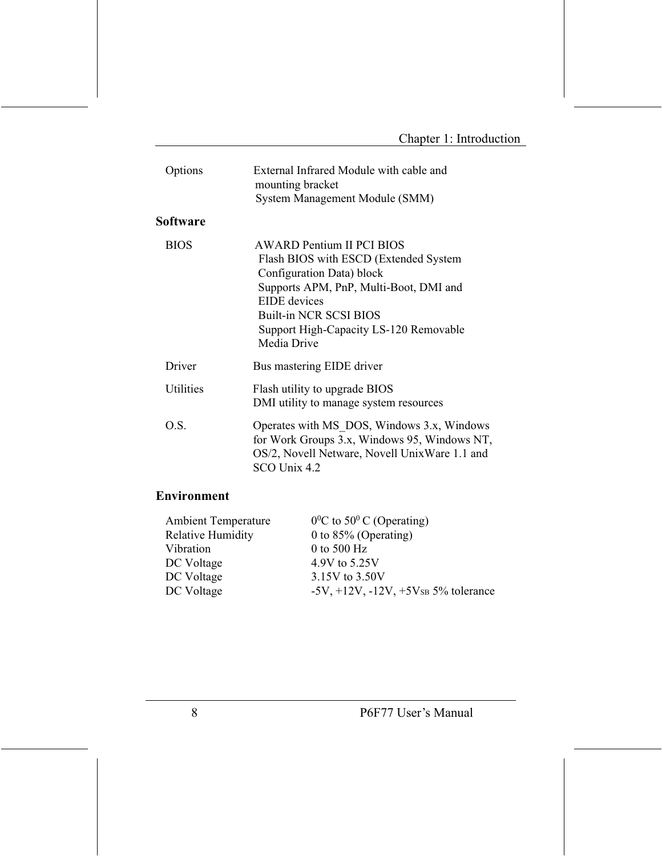| Options          | External Infrared Module with cable and<br>mounting bracket<br>System Management Module (SMM)                                                                                                                                                |  |
|------------------|----------------------------------------------------------------------------------------------------------------------------------------------------------------------------------------------------------------------------------------------|--|
| Software         |                                                                                                                                                                                                                                              |  |
| <b>BIOS</b>      | AWARD Pentium II PCI BIOS<br>Flash BIOS with ESCD (Extended System<br>Configuration Data) block<br>Supports APM, PnP, Multi-Boot, DMI and<br>EIDE devices<br>Built-in NCR SCSI BIOS<br>Support High-Capacity LS-120 Removable<br>Media Drive |  |
| Driver           | Bus mastering EIDE driver                                                                                                                                                                                                                    |  |
| <b>Utilities</b> | Flash utility to upgrade BIOS<br>DMI utility to manage system resources                                                                                                                                                                      |  |
| O.S.             | Operates with MS DOS, Windows 3.x, Windows<br>for Work Groups 3.x, Windows 95, Windows NT,<br>OS/2, Novell Netware, Novell UnixWare 1.1 and<br>SCO Unix 4.2                                                                                  |  |

#### **Environment**

| <b>Ambient Temperature</b> | $0^0$ C to 50 <sup>0</sup> C (Operating)                   |
|----------------------------|------------------------------------------------------------|
| <b>Relative Humidity</b>   | 0 to $85\%$ (Operating)                                    |
| Vibration                  | 0 to 500 $Hz$                                              |
| DC Voltage                 | 4.9V to 5.25V                                              |
| DC Voltage                 | 3.15V to 3.50V                                             |
| DC Voltage                 | $-5V$ , $+12V$ , $-12V$ , $+5V$ <sub>SB</sub> 5% tolerance |
|                            |                                                            |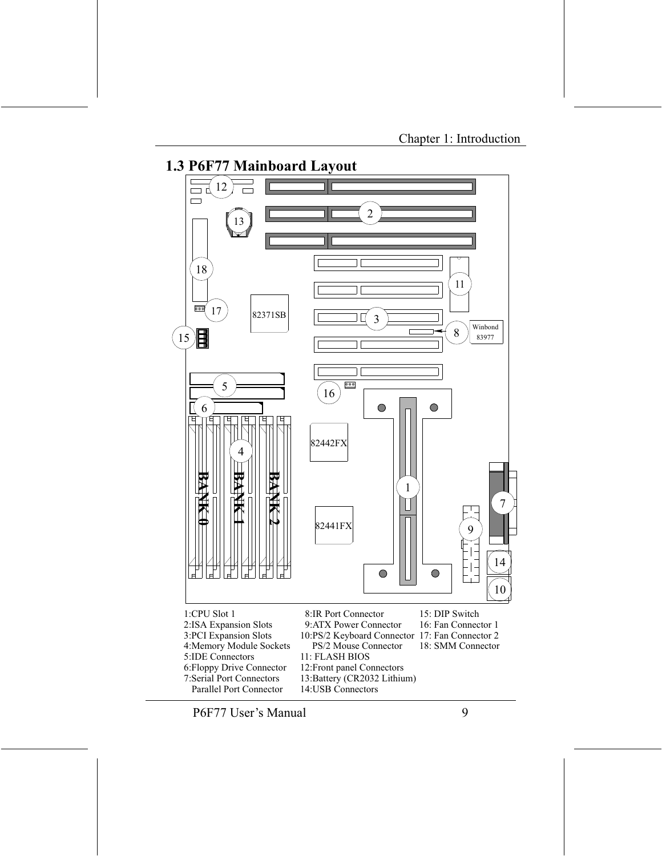

11: FLASH BIOS 12: Front panel Connectors

14:USB Connectors

13:Battery (CR2032 Lithium)

P6F77 User's Manual

4: Memory Module Sockets

6: Floppy Drive Connector

**7:Serial Port Connectors Parallel Port Connector** 

5:IDE Connectors

18: SMM Connector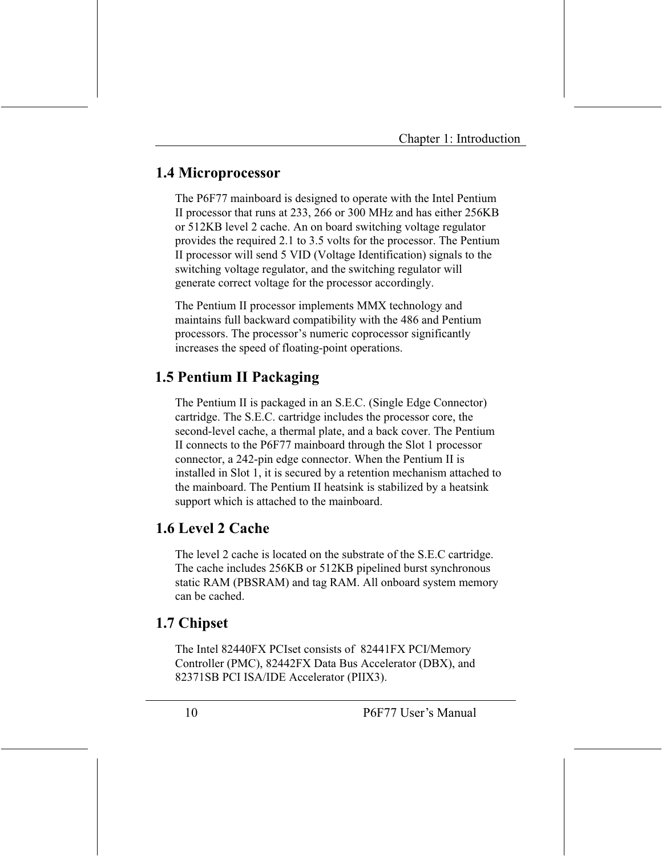### 1.4 Microprocessor

The P6F77 mainboard is designed to operate with the Intel Pentium II processor that runs at 233, 266 or 300 MHz and has either 256KB or 512KB level 2 cache. An on board switching voltage regulator provides the required 2.1 to 3.5 volts for the processor. The Pentium II processor will send 5 VID (Voltage Identification) signals to the switching voltage regulator, and the switching regulator will generate correct voltage for the processor accordingly.

The Pentium II processor implements MMX technology and maintains full backward compatibility with the 486 and Pentium processors. The processor's numeric coprocessor significantly increases the speed of floating-point operations.

### 1.5 Pentium II Packaging

The Pentium II is packaged in an S.E.C. (Single Edge Connector) cartridge. The S.E.C. cartridge includes the processor core, the second-level cache, a thermal plate, and a back cover. The Pentium II connects to the P6F77 mainboard through the Slot 1 processor connector, a 242-pin edge connector. When the Pentium II is installed in Slot 1, it is secured by a retention mechanism attached to the mainboard. The Pentium II heatsink is stabilized by a heatsink support which is attached to the mainboard.

### 1.6 Level 2 Cache

The level 2 cache is located on the substrate of the S.E.C cartridge. The cache includes 256KB or 512KB pipelined burst synchronous static RAM (PBSRAM) and tag RAM. All onboard system memory can be cached

### 1.7 Chipset

The Intel 82440FX PCIset consists of 82441FX PCI/Memory Controller (PMC), 82442FX Data Bus Accelerator (DBX), and 82371SB PCI ISA/IDE Accelerator (PIIX3).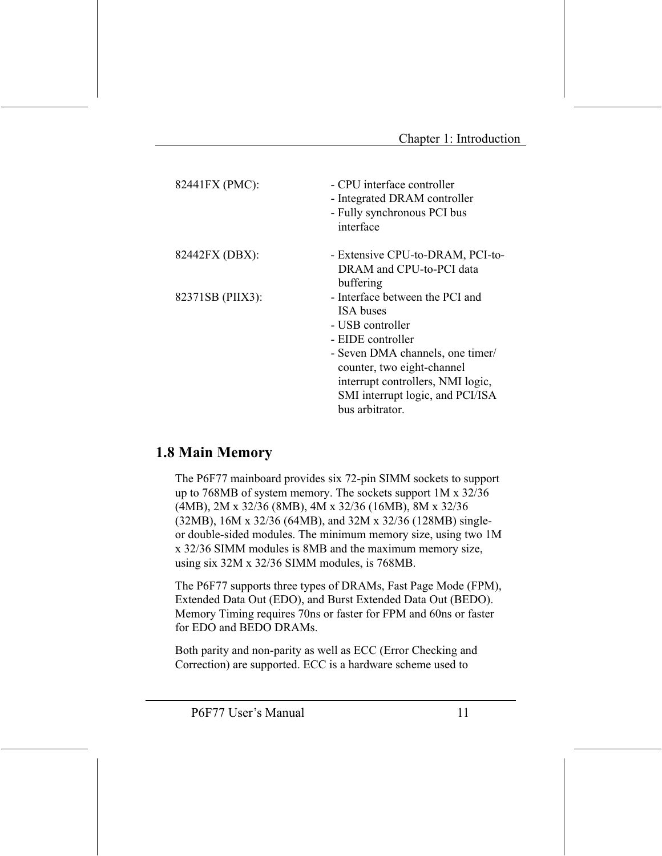| 82441FX (PMC):   | - CPU interface controller<br>- Integrated DRAM controller<br>- Fully synchronous PCI bus<br>interface                                                                                                                                                     |
|------------------|------------------------------------------------------------------------------------------------------------------------------------------------------------------------------------------------------------------------------------------------------------|
| 82442FX (DBX):   | - Extensive CPU-to-DRAM, PCI-to-<br>DRAM and CPU-to-PCI data<br>buffering                                                                                                                                                                                  |
| 82371SB (PIIX3): | - Interface between the PCI and<br><b>ISA</b> buses<br>- USB controller<br>- EIDE controller<br>- Seven DMA channels, one timer/<br>counter, two eight-channel<br>interrupt controllers, NMI logic,<br>SMI interrupt logic, and PCI/ISA<br>bus arbitrator. |

### **1.8 Main Memory**

The P6F77 mainboard provides six 72-pin SIMM sockets to support up to 768MB of system memory. The sockets support  $1M \times 32/36$ (4MB), 2M x 32/36 (8MB), 4M x 32/36 (16MB), 8M x 32/36 (32MB), 16M x 32/36 (64MB), and 32M x 32/36 (128MB) singleor double-sided modules. The minimum memory size, using two 1M x 32/36 SIMM modules is 8MB and the maximum memory size, using six 32M x 32/36 SIMM modules, is 768MB.

The P6F77 supports three types of DRAMs, Fast Page Mode (FPM), Extended Data Out (EDO), and Burst Extended Data Out (BEDO). Memory Timing requires 70ns or faster for FPM and 60ns or faster for EDO and BEDO DRAMs

Both parity and non-parity as well as ECC (Error Checking and Correction) are supported. ECC is a hardware scheme used to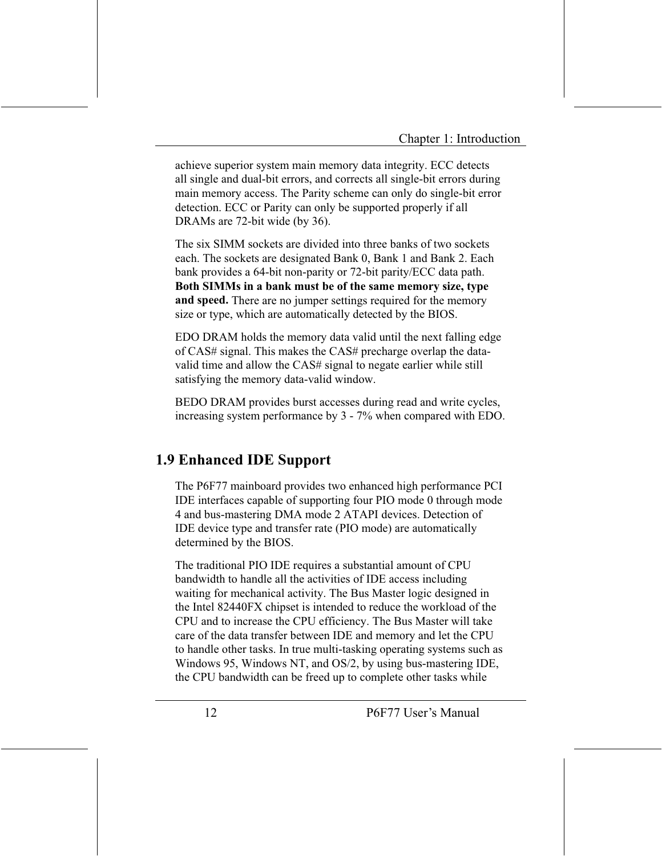achieve superior system main memory data integrity. ECC detects all single and dual-bit errors, and corrects all single-bit errors during main memory access. The Parity scheme can only do single-bit error detection. ECC or Parity can only be supported properly if all DRAMs are 72-bit wide (by 36).

The six SIMM sockets are divided into three banks of two sockets each. The sockets are designated Bank 0, Bank 1 and Bank 2, Each bank provides a 64-bit non-parity or 72-bit parity/ECC data path. Both SIMMs in a bank must be of the same memory size, type and speed. There are no jumper settings required for the memory size or type, which are automatically detected by the BIOS.

EDO DRAM holds the memory data valid until the next falling edge of CAS# signal. This makes the CAS# precharge overlap the datavalid time and allow the CAS# signal to negate earlier while still satisfying the memory data-valid window.

BEDO DRAM provides burst accesses during read and write cycles, increasing system performance by 3 - 7% when compared with EDO.

### **1.9 Enhanced IDE Support**

The P6F77 mainboard provides two enhanced high performance PCI IDE interfaces capable of supporting four PIO mode 0 through mode 4 and bus-mastering DMA mode 2 ATAPI devices. Detection of IDE device type and transfer rate (PIO mode) are automatically determined by the BIOS.

The traditional PIO IDE requires a substantial amount of CPU bandwidth to handle all the activities of IDE access including waiting for mechanical activity. The Bus Master logic designed in the Intel 82440FX chipset is intended to reduce the workload of the CPU and to increase the CPU efficiency. The Bus Master will take care of the data transfer between IDE and memory and let the CPU to handle other tasks. In true multi-tasking operating systems such as Windows 95, Windows NT, and OS/2, by using bus-mastering IDE, the CPU bandwidth can be freed up to complete other tasks while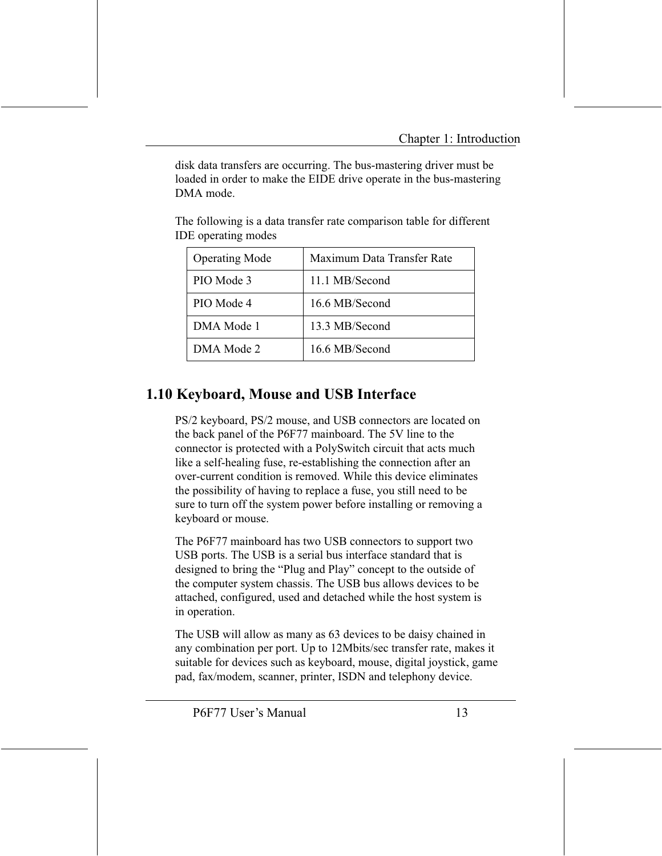disk data transfers are occurring. The bus-mastering driver must be loaded in order to make the EIDE drive operate in the bus-mastering DMA mode.

| <b>Operating Mode</b> | Maximum Data Transfer Rate |
|-----------------------|----------------------------|
| PIO Mode 3            | 11.1 MB/Second             |
| PIO Mode 4            | 16.6 MB/Second             |
| DMA Mode 1            | 13.3 MB/Second             |
| DMA Mode 2            | 16.6 MB/Second             |

The following is a data transfer rate comparison table for different **IDE** operating modes

### 1.10 Keyboard, Mouse and USB Interface

PS/2 keyboard, PS/2 mouse, and USB connectors are located on the back panel of the P6F77 mainboard. The 5V line to the connector is protected with a PolySwitch circuit that acts much like a self-healing fuse, re-establishing the connection after an over-current condition is removed. While this device eliminates the possibility of having to replace a fuse, you still need to be sure to turn off the system power before installing or removing a keyboard or mouse.

The P6F77 mainboard has two USB connectors to support two USB ports. The USB is a serial bus interface standard that is designed to bring the "Plug and Play" concept to the outside of the computer system chassis. The USB bus allows devices to be attached, configured, used and detached while the host system is in operation.

The USB will allow as many as 63 devices to be daisy chained in any combination per port. Up to 12Mbits/sec transfer rate, makes it suitable for devices such as keyboard, mouse, digital joystick, game pad, fax/modem, scanner, printer, ISDN and telephony device.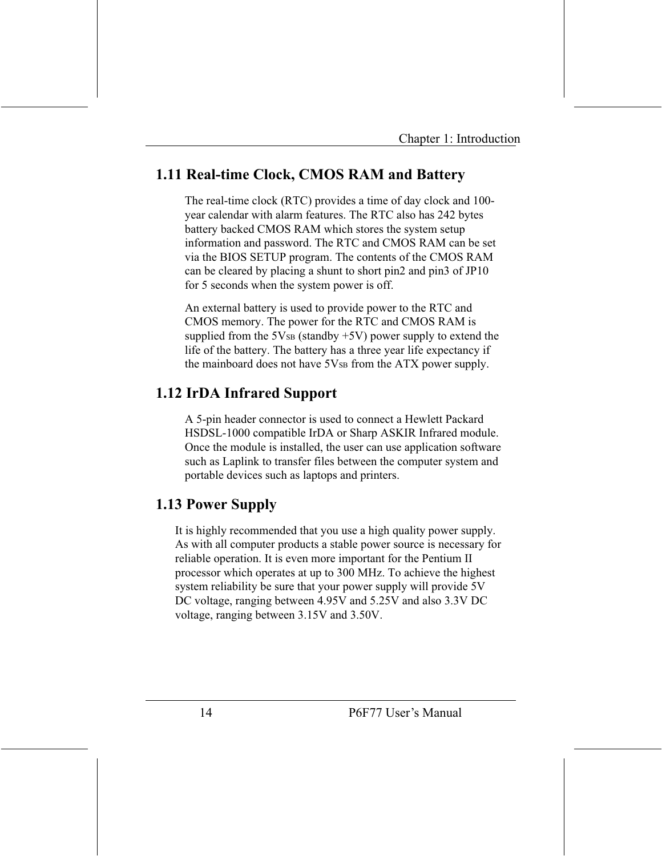### 1.11 Real-time Clock, CMOS RAM and Battery

The real-time clock (RTC) provides a time of day clock and 100year calendar with alarm features. The RTC also has 242 bytes battery backed CMOS RAM which stores the system setup information and password. The RTC and CMOS RAM can be set via the BIOS SETUP program. The contents of the CMOS RAM can be cleared by placing a shunt to short pin2 and pin3 of JP10 for 5 seconds when the system power is off.

An external battery is used to provide power to the RTC and CMOS memory. The power for the RTC and CMOS RAM is supplied from the  $5V_{SB}$  (standby  $+5V$ ) power supply to extend the life of the battery. The battery has a three year life expectancy if the mainboard does not have 5Vs from the ATX power supply.

### **1.12 IrDA Infrared Support**

A 5-pin header connector is used to connect a Hewlett Packard HSDSL-1000 compatible IrDA or Sharp ASKIR Infrared module. Once the module is installed, the user can use application software such as Laplink to transfer files between the computer system and portable devices such as laptops and printers.

### **1.13 Power Supply**

It is highly recommended that you use a high quality power supply. As with all computer products a stable power source is necessary for reliable operation. It is even more important for the Pentium II processor which operates at up to 300 MHz. To achieve the highest system reliability be sure that your power supply will provide 5V DC voltage, ranging between 4.95V and 5.25V and also 3.3V DC voltage, ranging between 3.15V and 3.50V.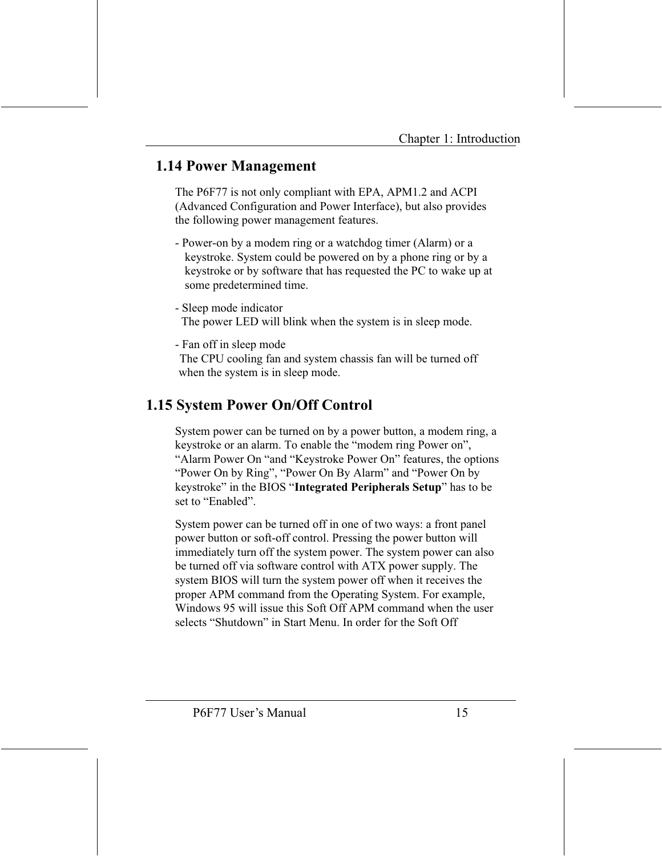### **1.14 Power Management**

The P6F77 is not only compliant with EPA, APM1.2 and ACPI (Advanced Configuration and Power Interface), but also provides the following power management features.

- Power-on by a modem ring or a watchdog timer (Alarm) or a keystroke. System could be powered on by a phone ring or by a keystroke or by software that has requested the PC to wake up at some predetermined time.
- Sleep mode indicator The power LED will blink when the system is in sleep mode.
- Fan off in sleep mode The CPU cooling fan and system chassis fan will be turned off when the system is in sleep mode.

### **1.15 System Power On/Off Control**

System power can be turned on by a power button, a modem ring, a keystroke or an alarm. To enable the "modem ring Power on", "Alarm Power On "and "Keystroke Power On" features, the options "Power On by Ring", "Power On By Alarm" and "Power On by keystroke" in the BIOS "Integrated Peripherals Setup" has to be set to "Enabled"

System power can be turned off in one of two ways: a front panel power button or soft-off control. Pressing the power button will immediately turn off the system power. The system power can also be turned off via software control with ATX power supply. The system BIOS will turn the system power off when it receives the proper APM command from the Operating System. For example, Windows 95 will issue this Soft Off APM command when the user selects "Shutdown" in Start Menu. In order for the Soft Off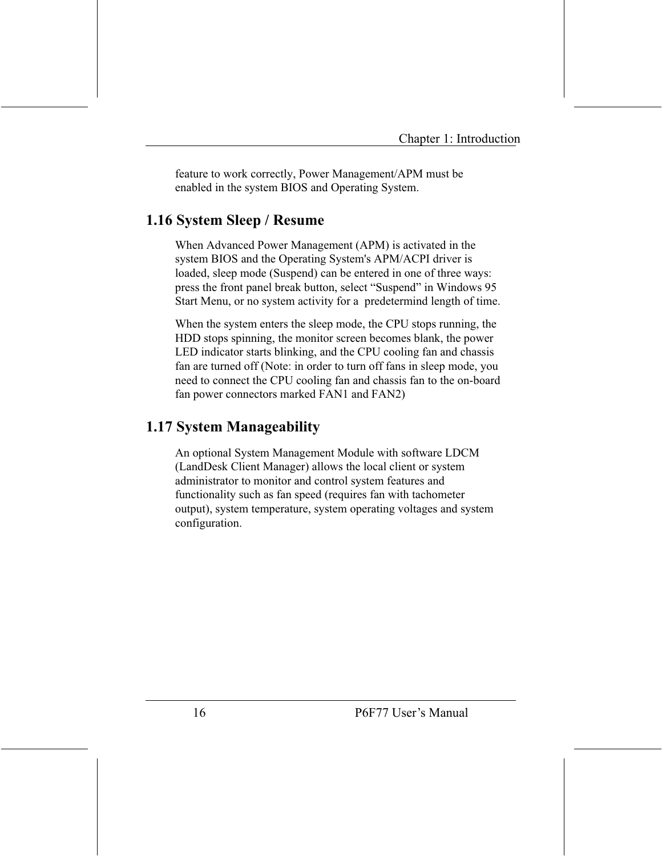feature to work correctly, Power Management/APM must be enabled in the system BIOS and Operating System.

### 1.16 System Sleep / Resume

When Advanced Power Management (APM) is activated in the system BIOS and the Operating System's APM/ACPI driver is loaded, sleep mode (Suspend) can be entered in one of three ways: press the front panel break button, select "Suspend" in Windows 95 Start Menu, or no system activity for a predetermind length of time.

When the system enters the sleep mode, the CPU stops running, the HDD stops spinning, the monitor screen becomes blank, the power LED indicator starts blinking, and the CPU cooling fan and chassis fan are turned off (Note: in order to turn off fans in sleep mode, you need to connect the CPU cooling fan and chassis fan to the on-board fan power connectors marked FAN1 and FAN2)

### 1.17 System Manageability

An optional System Management Module with software LDCM (LandDesk Client Manager) allows the local client or system administrator to monitor and control system features and functionality such as fan speed (requires fan with tachometer output), system temperature, system operating voltages and system configuration.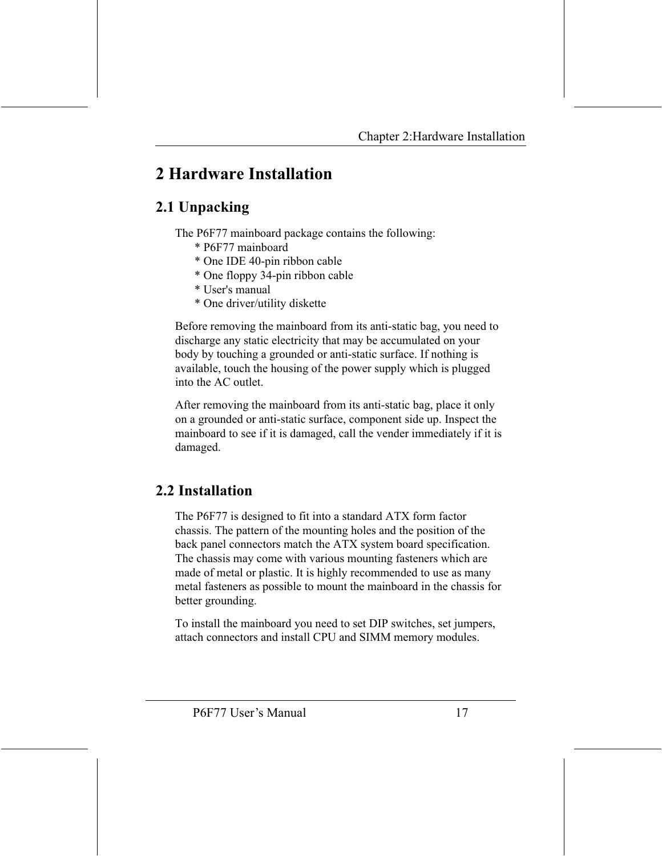### 2 Hardware Installation

### 2.1 Unpacking

The P6F77 mainboard package contains the following:

- \* P6F77 mainboard
- \* One IDE 40-pin ribbon cable
- \* One floppy 34-pin ribbon cable
- \* User's manual
- \* One driver/utility diskette

Before removing the mainboard from its anti-static bag, you need to discharge any static electricity that may be accumulated on your body by touching a grounded or anti-static surface. If nothing is available, touch the housing of the power supply which is plugged into the AC outlet.

After removing the mainboard from its anti-static bag, place it only on a grounded or anti-static surface, component side up. Inspect the mainboard to see if it is damaged, call the vender immediately if it is damaged.

### 2.2 Installation

The P6F77 is designed to fit into a standard ATX form factor chassis. The pattern of the mounting holes and the position of the back panel connectors match the ATX system board specification. The chassis may come with various mounting fasteners which are made of metal or plastic. It is highly recommended to use as many metal fasteners as possible to mount the mainboard in the chassis for better grounding.

To install the mainboard you need to set DIP switches, set jumpers, attach connectors and install CPU and SIMM memory modules.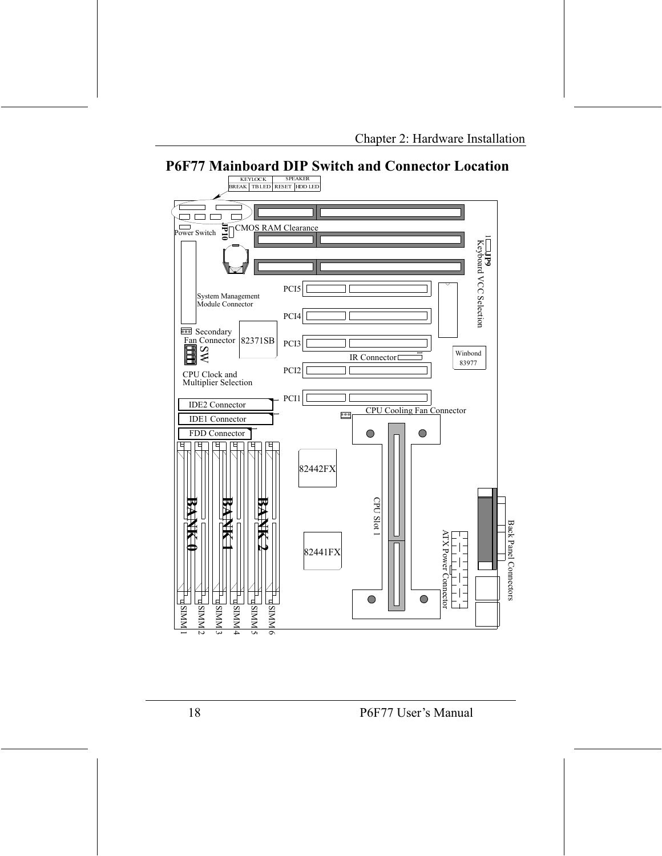

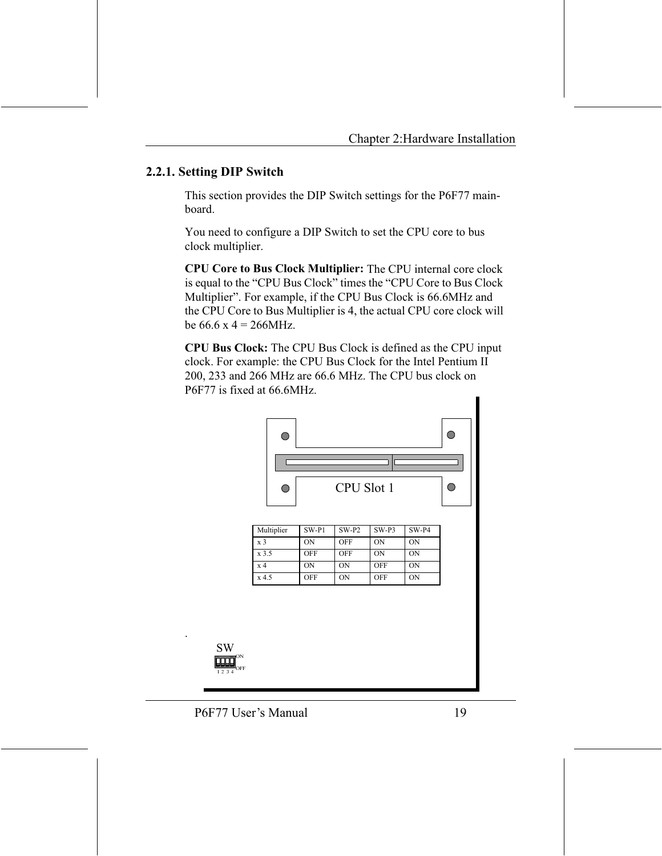#### 2.2.1. Setting DIP Switch

This section provides the DIP Switch settings for the P6F77 mainboard.

You need to configure a DIP Switch to set the CPU core to bus clock multiplier.

**CPU Core to Bus Clock Multiplier:** The CPU internal core clock is equal to the "CPU Bus Clock" times the "CPU Core to Bus Clock Multiplier". For example, if the CPU Bus Clock is 66.6MHz and the CPU Core to Bus Multiplier is 4, the actual CPU core clock will be  $66.6 \times 4 = 266 MHz$ .

**CPU Bus Clock:** The CPU Bus Clock is defined as the CPU input clock. For example: the CPU Bus Clock for the Intel Pentium II 200, 233 and 266 MHz are 66.6 MHz. The CPU bus clock on P6F77 is fixed at 66.6MHz.



| $\mathbf{x}$ 3 | ON         | <b>OFF</b> | ON  | ON        |
|----------------|------------|------------|-----|-----------|
| x 3.5          | <b>OFF</b> | OFF        | ON  | ON        |
| x 4            | ON         | ON         | OFF | <b>ON</b> |
| x 4.5          | <b>OFF</b> | ON         | OFF | ON        |

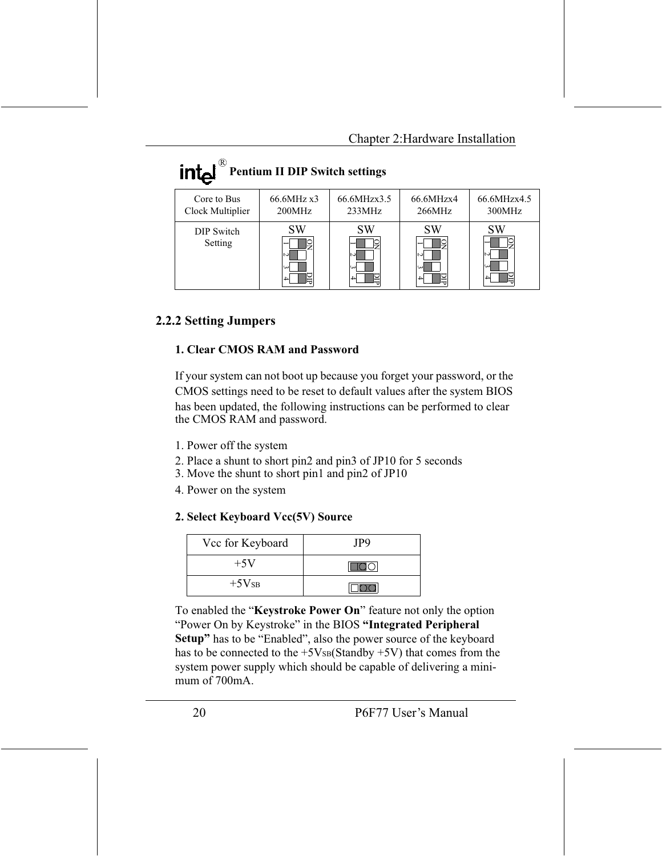| ∾<br><b>Pentium II DIP Switch settings</b> |                        |                         |                           |                                     |  |
|--------------------------------------------|------------------------|-------------------------|---------------------------|-------------------------------------|--|
| Core to Bus<br>Clock Multiplier            | 66.6MHz x3<br>200MHz   | 66.6MHzx3.5<br>233MHz   | 66.6MHzx4<br>266MHz       | 66.6MHzx4.5<br>300MHz               |  |
| DIP Switch<br>Setting                      | SW<br>N<br>ω<br>≝<br>4 | SW<br>N<br>ىئ<br>뎥<br>4 | <b>SW</b><br>N<br>ىي<br>4 | <b>SW</b><br>╰╴<br>N<br>ى<br>Ĕ<br>4 |  |

#### 2.2.2 Setting Jumpers

 $\mathcal{D}$ 

#### 1. Clear CMOS RAM and Password

If your system can not boot up because you forget your password, or the CMOS settings need to be reset to default values after the system BIOS has been updated, the following instructions can be performed to clear the CMOS RAM and password.

- 1. Power off the system
- 2. Place a shunt to short pin2 and pin3 of JP10 for 5 seconds
- 3. Move the shunt to short pin1 and pin2 of JP10
- 4. Power on the system

#### 2. Select Keyboard Vcc(5V) Source

| Vcc for Keyboard | JP9 |
|------------------|-----|
| $+5V$            |     |
| $+5V_{SB}$       |     |

To enabled the "Keystroke Power On" feature not only the option "Power On by Keystroke" in the BIOS "Integrated Peripheral" Setup" has to be "Enabled", also the power source of the keyboard has to be connected to the  $+5V_{SB}(Standby +5V)$  that comes from the system power supply which should be capable of delivering a minimum of  $700mA$ .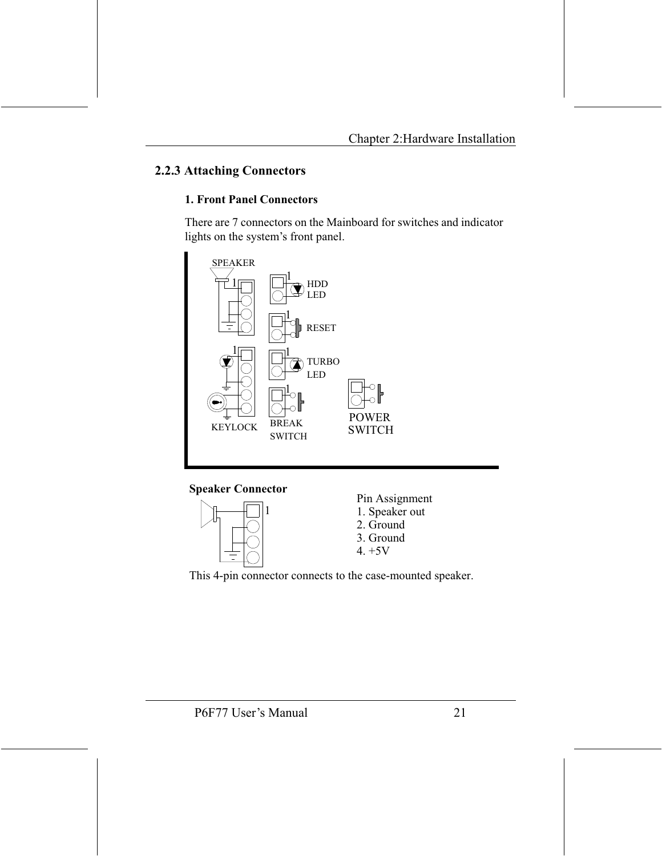#### **2.2.3 Attaching Connectors**

#### **1. Front Panel Connectors**

There are 7 connectors on the Mainboard for switches and indicator lights on the system's front panel.



**Speaker Connector** 

1



Pin Assignment 1. Speaker out 2. Ground 3. Ground  $4. +5V$ 

This 4-pin connector connects to the case-mounted speaker.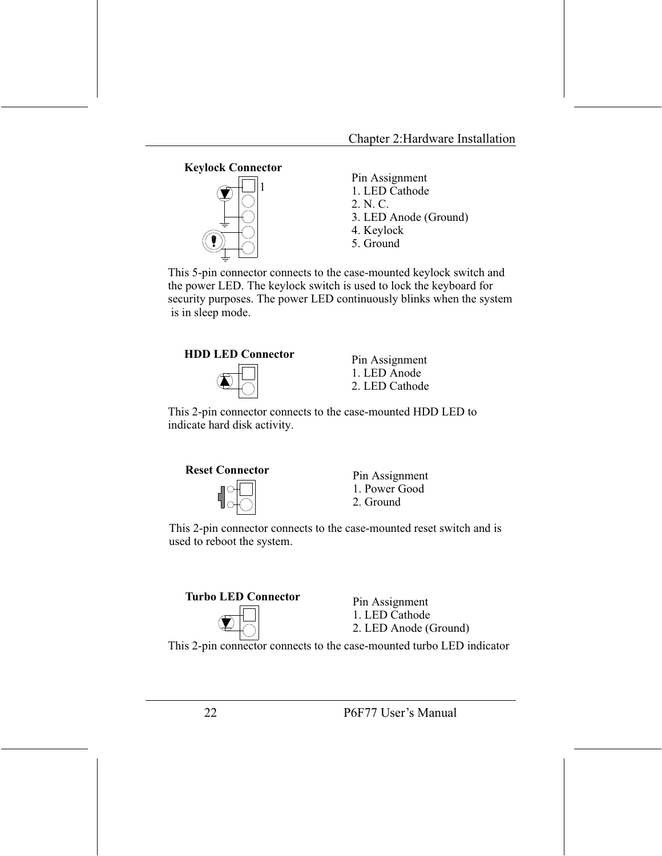

This 5-pin connector connects to the case-mounted keylock switch and the power LED. The keylock switch is used to lock the keyboard for security purposes. The power LED continuously blinks when the system is in sleep mode.





Pin Assignment 1. LED Anode 2. LED Cathode

This 2-pin connector connects to the case-mounted HDD LED to indicate hard disk activity.



Pin Assignment 1. Power Good 2. Ground

This 2-pin connector connects to the case-mounted reset switch and is used to reboot the system.





Pin Assignment 1. LED Cathode 2. LED Anode (Ground)

This 2-pin connector connects to the case-mounted turbo LED indicator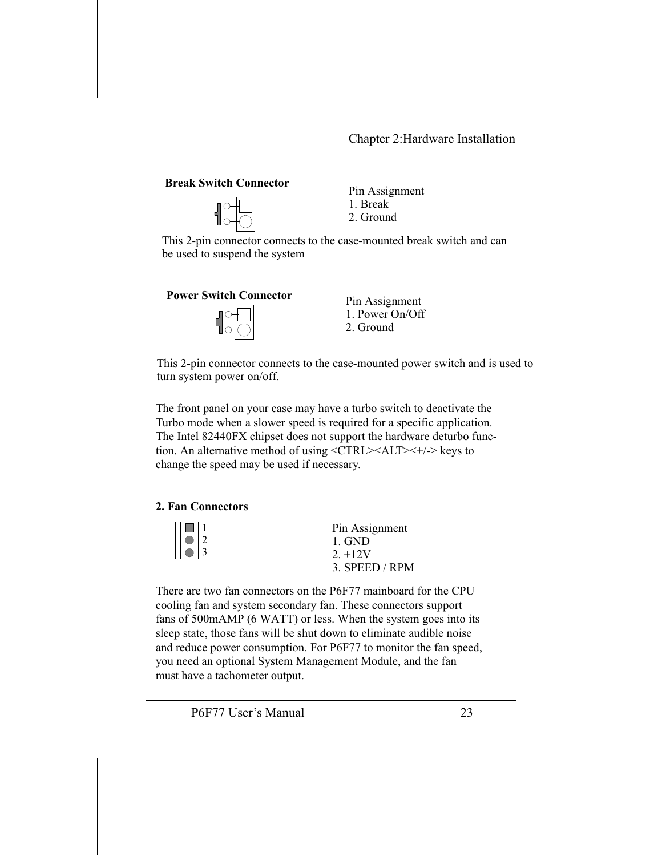#### **Break Switch Connector**



Pin Assignment 1 Break 2. Ground

This 2-pin connector connects to the case-mounted break switch and can be used to suspend the system





Pin Assignment 1 Power On/Off 2. Ground

This 2-pin connector connects to the case-mounted power switch and is used to turn system power on/off.

The front panel on your case may have a turbo switch to deactivate the Turbo mode when a slower speed is required for a specific application. The Intel 82440FX chipset does not support the hardware deturbo function. An alternative method of using <CTRL><ALT><+/-> keys to change the speed may be used if necessary.

#### 2. Fan Connectors

| $  \Box 1$ | Pin Assignment |
|------------|----------------|
|            | 1. GND         |
|            | $2. +12V$      |
|            | 3. SPEED / RPM |

There are two fan connectors on the P6F77 mainboard for the CPU cooling fan and system secondary fan. These connectors support fans of 500mAMP (6 WATT) or less. When the system goes into its sleep state, those fans will be shut down to eliminate audible noise and reduce power consumption. For P6F77 to monitor the fan speed, you need an optional System Management Module, and the fan must have a tachometer output.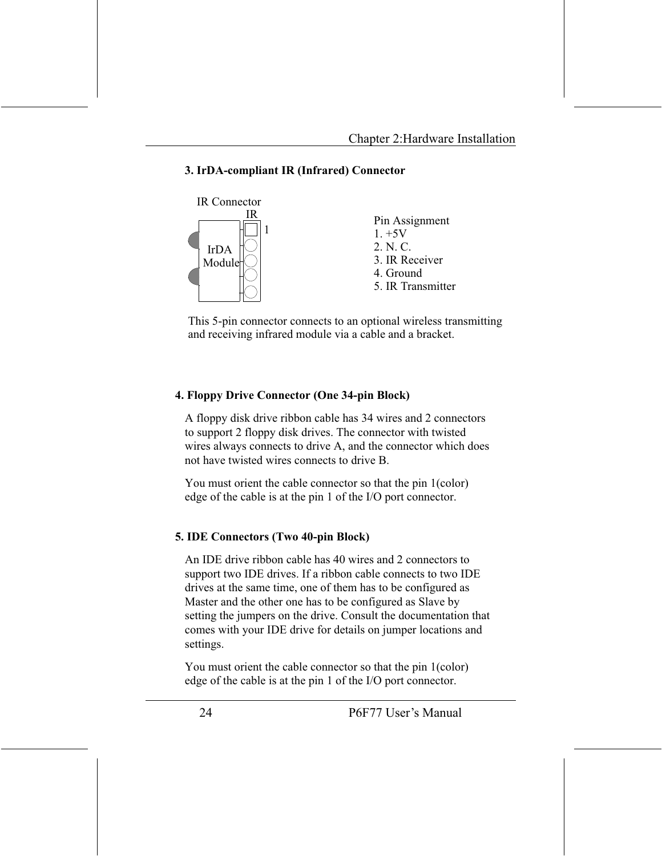#### 3. IrDA-compliant IR (Infrared) Connector



This 5-pin connector connects to an optional wireless transmitting and receiving infrared module via a cable and a bracket.

#### 4. Floppy Drive Connector (One 34-pin Block)

A floppy disk drive ribbon cable has 34 wires and 2 connectors to support 2 floppy disk drives. The connector with twisted wires always connects to drive A, and the connector which does not have twisted wires connects to drive B.

You must orient the cable connector so that the pin 1(color) edge of the cable is at the pin 1 of the I/O port connector.

#### **5. IDE Connectors (Two 40-pin Block)**

An IDE drive ribbon cable has 40 wires and 2 connectors to support two IDE drives. If a ribbon cable connects to two IDE drives at the same time, one of them has to be configured as Master and the other one has to be configured as Slave by setting the jumpers on the drive. Consult the documentation that comes with your IDE drive for details on jumper locations and settings.

You must orient the cable connector so that the pin 1(color) edge of the cable is at the pin 1 of the I/O port connector.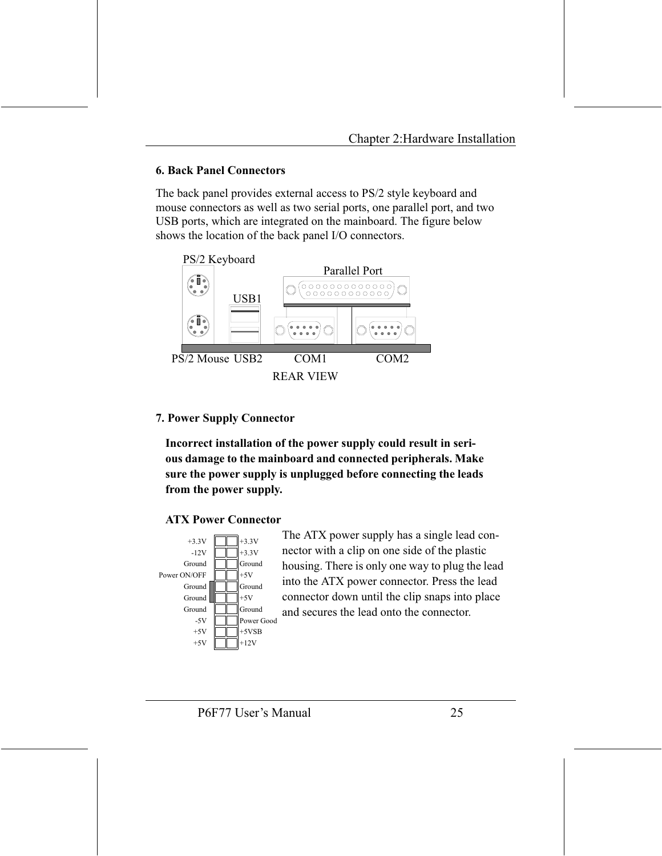#### **6. Back Panel Connectors**

The back panel provides external access to PS/2 style keyboard and mouse connectors as well as two serial ports, one parallel port, and two USB ports, which are integrated on the mainboard. The figure below shows the location of the back panel I/O connectors.



#### **7. Power Supply Connector**

Incorrect installation of the power supply could result in serious damage to the mainboard and connected peripherals. Make sure the power supply is unplugged before connecting the leads from the power supply.

#### **ATX Power Connector**



The ATX power supply has a single lead connector with a clip on one side of the plastic housing. There is only one way to plug the lead into the ATX power connector. Press the lead connector down until the clip snaps into place and secures the lead onto the connector.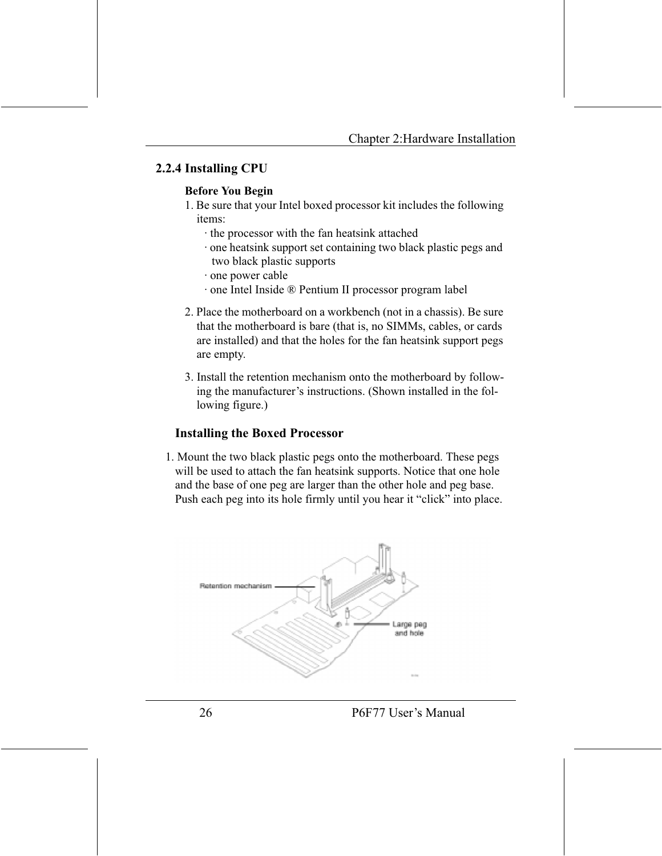#### 2.2.4 Installing CPU

#### **Before You Begin**

- 1. Be sure that your Intel boxed processor kit includes the following items<sup>.</sup>
	- the processor with the fan heatsink attached
	- one heatsink support set containing two black plastic pegs and two black plastic supports
	- one power cable
	- one Intel Inside ® Pentium II processor program label
- 2. Place the motherboard on a workbench (not in a chassis). Be sure that the motherboard is bare (that is, no SIMMs, cables, or cards are installed) and that the holes for the fan heatsink support pegs are empty.
- 3. Install the retention mechanism onto the motherboard by following the manufacturer's instructions. (Shown installed in the following figure.)

#### **Installing the Boxed Processor**

1. Mount the two black plastic pegs onto the motherboard. These pegs will be used to attach the fan heatsink supports. Notice that one hole and the base of one peg are larger than the other hole and peg base. Push each peg into its hole firmly until you hear it "click" into place.

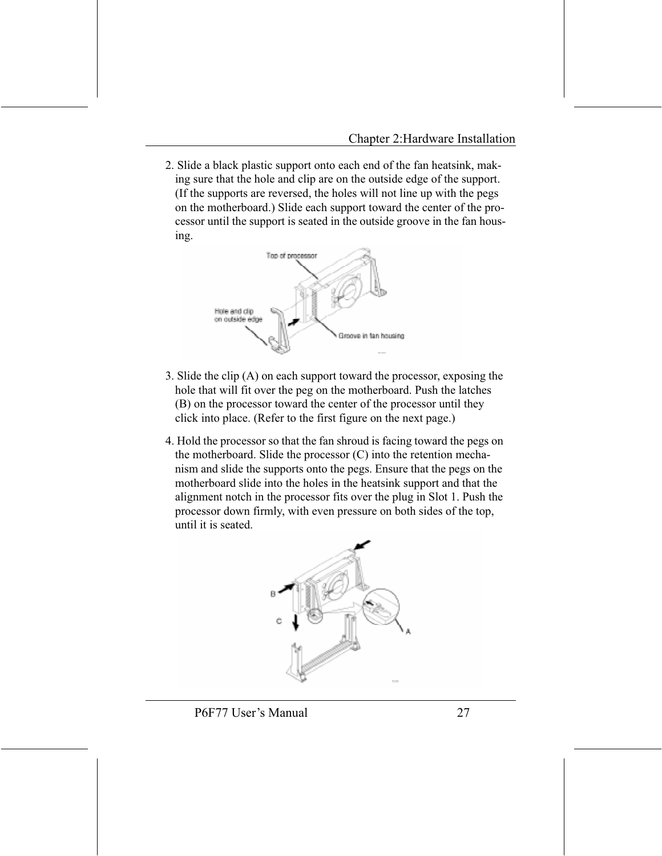2. Slide a black plastic support onto each end of the fan heatsink, making sure that the hole and clip are on the outside edge of the support. (If the supports are reversed, the holes will not line up with the pegs on the motherboard.) Slide each support toward the center of the processor until the support is seated in the outside groove in the fan housing.



- 3. Slide the clip (A) on each support toward the processor, exposing the hole that will fit over the peg on the motherboard. Push the latches (B) on the processor toward the center of the processor until they click into place. (Refer to the first figure on the next page.)
- 4. Hold the processor so that the fan shroud is facing toward the pegs on the motherboard. Slide the processor (C) into the retention mechanism and slide the supports onto the pegs. Ensure that the pegs on the motherboard slide into the holes in the heatsink support and that the alignment notch in the processor fits over the plug in Slot 1. Push the processor down firmly, with even pressure on both sides of the top. until it is seated.

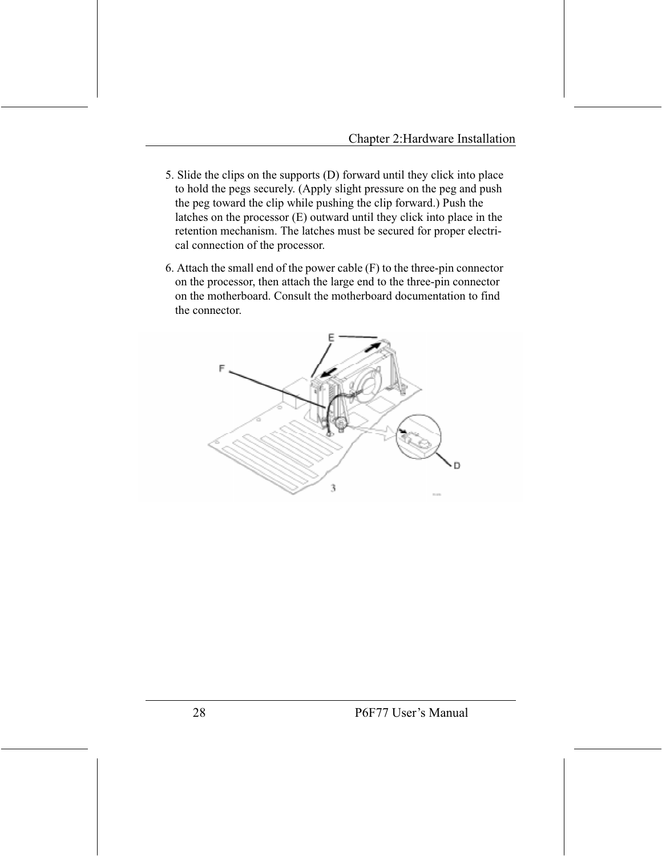- 5. Slide the clips on the supports (D) forward until they click into place to hold the pegs securely. (Apply slight pressure on the peg and push the peg toward the clip while pushing the clip forward.) Push the latches on the processor  $(E)$  outward until they click into place in the retention mechanism. The latches must be secured for proper electrical connection of the processor.
- 6. Attach the small end of the power cable (F) to the three-pin connector on the processor, then attach the large end to the three-pin connector on the motherboard. Consult the motherboard documentation to find the connector

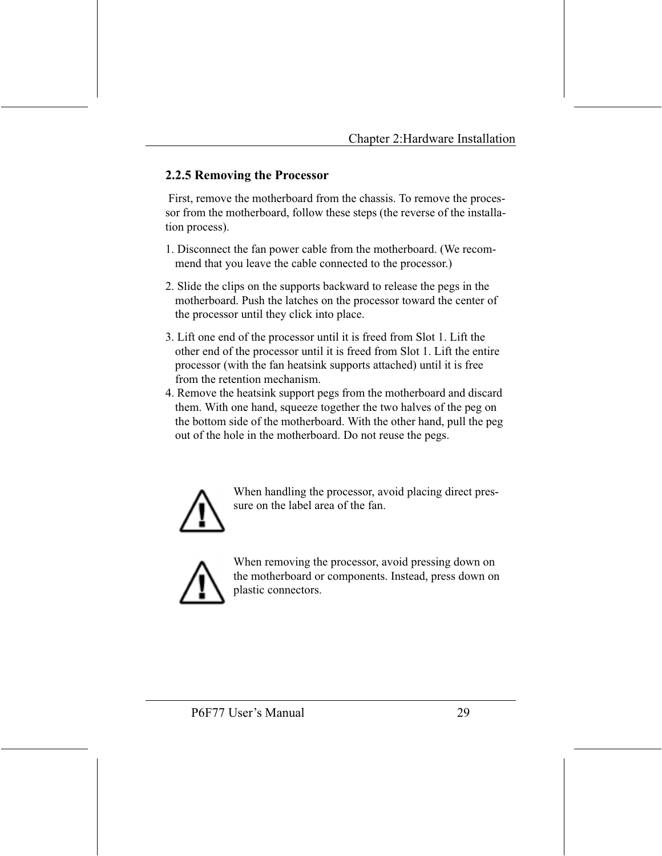#### 2.2.5 Removing the Processor

First, remove the motherboard from the chassis. To remove the processor from the motherboard, follow these steps (the reverse of the installation process).

- 1. Disconnect the fan power cable from the motherboard. (We recommend that you leave the cable connected to the processor.)
- 2. Slide the clips on the supports backward to release the pegs in the motherboard. Push the latches on the processor toward the center of the processor until they click into place.
- 3. Lift one end of the processor until it is freed from Slot 1. Lift the other end of the processor until it is freed from Slot 1. Lift the entire processor (with the fan heatsink supports attached) until it is free from the retention mechanism.
- 4. Remove the heatsink support pegs from the motherboard and discard them. With one hand, squeeze together the two halves of the peg on the bottom side of the motherboard. With the other hand, pull the peg out of the hole in the motherboard. Do not reuse the pegs.



When handling the processor, avoid placing direct pressure on the label area of the fan.



When removing the processor, avoid pressing down on the motherboard or components. Instead, press down on plastic connectors.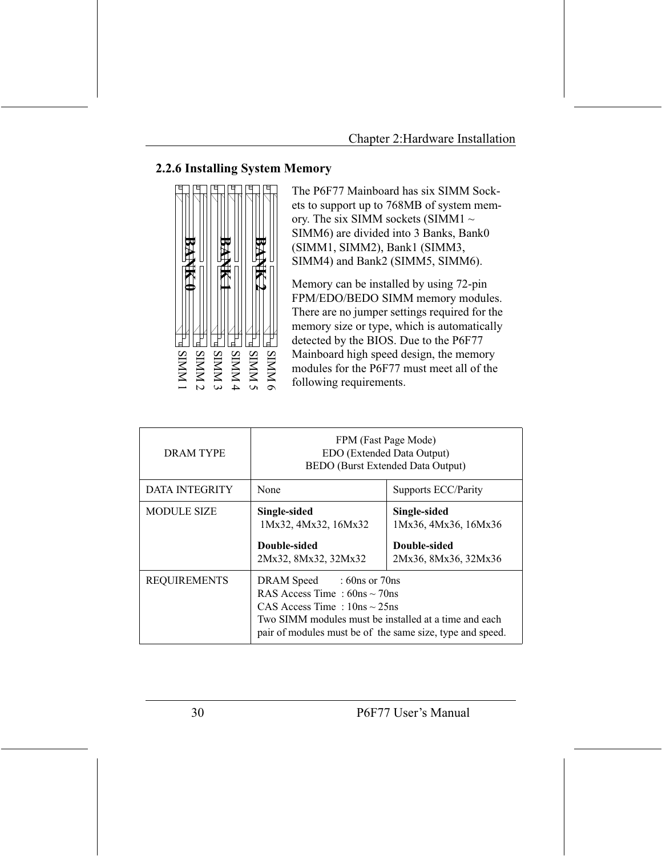#### 2.2.6 Installing System Memory



The P6F77 Mainboard has six SIMM Sockets to support up to 768MB of system memory. The six SIMM sockets (SIMM1  $\sim$ SIMM6) are divided into 3 Banks, Bank0 (SIMM1, SIMM2), Bank1 (SIMM3, SIMM4) and Bank2 (SIMM5, SIMM6).

Memory can be installed by using 72-pin FPM/EDO/BEDO SIMM memory modules. There are no jumper settings required for the memory size or type, which is automatically detected by the BIOS. Due to the P6F77 Mainboard high speed design, the memory modules for the P6F77 must meet all of the following requirements.

| <b>DRAM TYPE</b>      | FPM (Fast Page Mode)<br>EDO (Extended Data Output)<br>BEDO (Burst Extended Data Output)                                                                                                                                   |                                                                              |  |
|-----------------------|---------------------------------------------------------------------------------------------------------------------------------------------------------------------------------------------------------------------------|------------------------------------------------------------------------------|--|
| <b>DATA INTEGRITY</b> | None                                                                                                                                                                                                                      | Supports ECC/Parity                                                          |  |
| <b>MODULE SIZE</b>    | Single-sided<br>1Mx32, 4Mx32, 16Mx32<br>Double-sided<br>2Mx32, 8Mx32, 32Mx32                                                                                                                                              | Single-sided<br>1Mx36, 4Mx36, 16Mx36<br>Double-sided<br>2Mx36, 8Mx36, 32Mx36 |  |
| <b>REQUIREMENTS</b>   | DRAM Speed : 60ns or 70ns<br>RAS Access Time: $60ns \sim 70ns$<br>CAS Access Time: $10ns \sim 25ns$<br>Two SIMM modules must be installed at a time and each<br>pair of modules must be of the same size, type and speed. |                                                                              |  |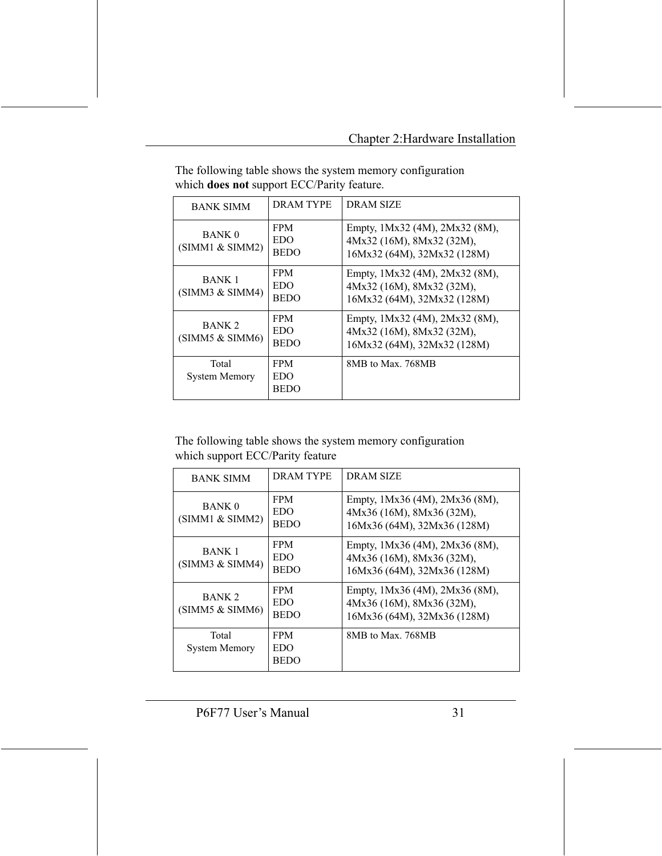| <b>BANK SIMM</b>                     | DRAM TYPE                        | <b>DRAM SIZE</b>                                                                           |
|--------------------------------------|----------------------------------|--------------------------------------------------------------------------------------------|
| <b>BANK 0</b><br>(SIMM1 & SIMM2)     | <b>FPM</b><br>EDO<br><b>BEDO</b> | Empty, 1Mx32 (4M), 2Mx32 (8M),<br>4Mx32 (16M), 8Mx32 (32M),<br>16Mx32 (64M), 32Mx32 (128M) |
| <b>BANK 1</b><br>(SIMM3 & SNM4)      | <b>FPM</b><br>EDO<br><b>BEDO</b> | Empty, 1Mx32 (4M), 2Mx32 (8M),<br>4Mx32 (16M), 8Mx32 (32M),<br>16Mx32 (64M), 32Mx32 (128M) |
| BANK <sub>2</sub><br>(SIMM5 & SIMM6) | <b>FPM</b><br>EDO<br><b>BEDO</b> | Empty, 1Mx32 (4M), 2Mx32 (8M),<br>4Mx32 (16M), 8Mx32 (32M),<br>16Mx32 (64M), 32Mx32 (128M) |
| Total<br><b>System Memory</b>        | <b>FPM</b><br>EDO<br><b>BEDO</b> | 8MB to Max. 768MB                                                                          |

The following table shows the system memory configuration which does not support ECC/Parity feature.

The following table shows the system memory configuration which support ECC/Parity feature

| <b>BANK SIMM</b>                     | <b>DRAM TYPE</b>                 | <b>DRAM SIZE</b>                                                                           |
|--------------------------------------|----------------------------------|--------------------------------------------------------------------------------------------|
| <b>BANK 0</b><br>(SIMM1 & SIMM2)     | <b>FPM</b><br>EDO<br><b>BEDO</b> | Empty, 1Mx36 (4M), 2Mx36 (8M),<br>4Mx36 (16M), 8Mx36 (32M),<br>16Mx36 (64M), 32Mx36 (128M) |
| <b>BANK 1</b><br>(SIMM3 & SIMM4)     | <b>FPM</b><br>EDO<br><b>BEDO</b> | Empty, 1Mx36 (4M), 2Mx36 (8M),<br>4Mx36 (16M), 8Mx36 (32M),<br>16Mx36 (64M), 32Mx36 (128M) |
| BANK <sub>2</sub><br>(SIMM5 & SIMM6) | <b>FPM</b><br>EDO<br><b>BEDO</b> | Empty, 1Mx36 (4M), 2Mx36 (8M),<br>4Mx36 (16M), 8Mx36 (32M),<br>16Mx36 (64M), 32Mx36 (128M) |
| Total<br><b>System Memory</b>        | <b>FPM</b><br>EDO<br>BEDO        | 8MB to Max. 768MB                                                                          |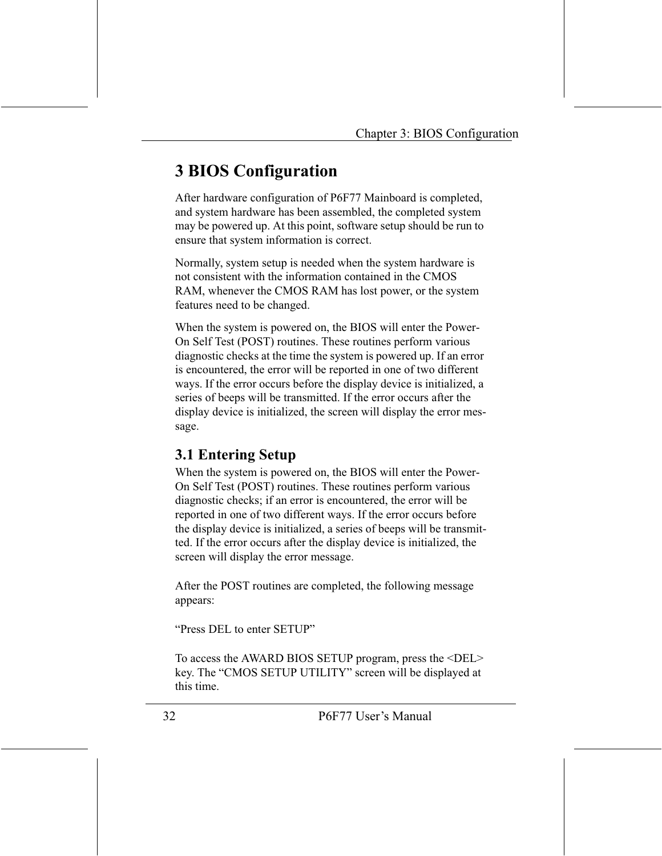# **3 BIOS Configuration**

After hardware configuration of P6F77 Mainboard is completed, and system hardware has been assembled, the completed system may be powered up. At this point, software setup should be run to ensure that system information is correct.

Normally, system setup is needed when the system hardware is not consistent with the information contained in the CMOS RAM, whenever the CMOS RAM has lost power, or the system features need to be changed.

When the system is powered on, the BIOS will enter the Power-On Self Test (POST) routines. These routines perform various diagnostic checks at the time the system is powered up. If an error is encountered, the error will be reported in one of two different ways. If the error occurs before the display device is initialized, a series of beeps will be transmitted. If the error occurs after the display device is initialized, the screen will display the error message.

### **3.1 Entering Setup**

When the system is powered on, the BIOS will enter the Power-On Self Test (POST) routines. These routines perform various diagnostic checks; if an error is encountered, the error will be reported in one of two different ways. If the error occurs before the display device is initialized, a series of beeps will be transmitted. If the error occurs after the display device is initialized, the screen will display the error message.

After the POST routines are completed, the following message appears:

"Press DEL to enter SETUP"

To access the AWARD BIOS SETUP program, press the <DEL> key. The "CMOS SETUP UTILITY" screen will be displayed at this time.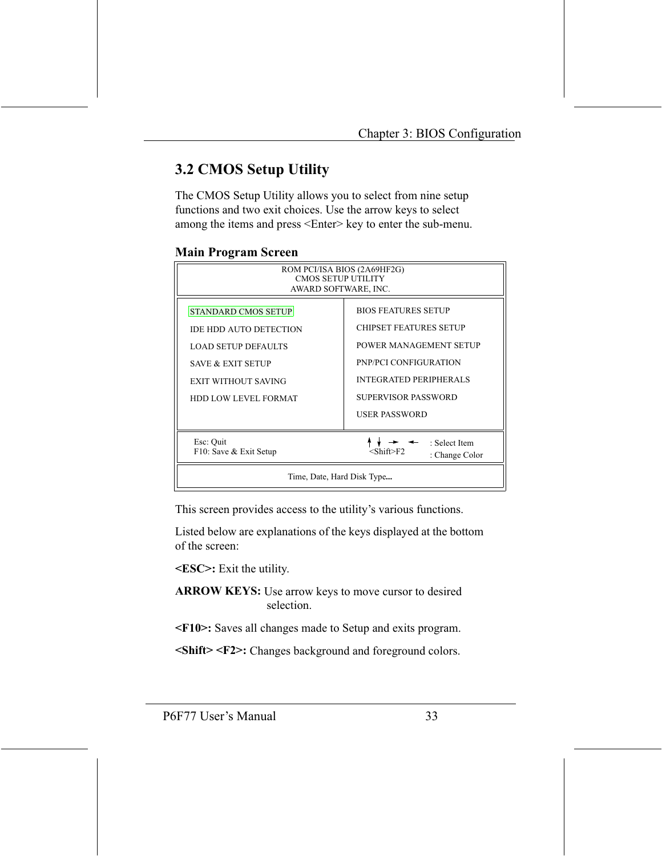### **3.2 CMOS Setup Utility**

The CMOS Setup Utility allows you to select from nine setup functions and two exit choices. Use the arrow keys to select among the items and press <Enter> key to enter the sub-menu.

| <b>Main Program Screen</b> |  |  |  |
|----------------------------|--|--|--|
|----------------------------|--|--|--|

| ROM PCI/ISA BIOS (2A69HF2G)<br><b>CMOS SETUP UTILITY</b><br>AWARD SOFTWARE, INC.                                                                                                       |                                                                                                                                                                        |  |  |
|----------------------------------------------------------------------------------------------------------------------------------------------------------------------------------------|------------------------------------------------------------------------------------------------------------------------------------------------------------------------|--|--|
| <b>STANDARD CMOS SETUP</b><br><b>IDE HDD AUTO DETECTION</b><br><b>LOAD SETUP DEFAULTS</b><br><b>SAVE &amp; EXIT SETUP</b><br><b>EXIT WITHOUT SAVING</b><br><b>HDD LOW LEVEL FORMAT</b> | <b>BIOS FEATURES SETUP</b><br><b>CHIPSET FEATURES SETUP</b><br>POWER MANAGEMENT SETUP<br>PNP/PCI CONFIGURATION<br><b>INTEGRATED PERIPHERALS</b><br>SUPERVISOR PASSWORD |  |  |
| USER PASSWORD<br>Esc: Quit<br>: Select Item<br>F10: Save & Exit Setup<br><shift>F2<br/>: Change Color<br/>Time, Date, Hard Disk Type</shift>                                           |                                                                                                                                                                        |  |  |

This screen provides access to the utility's various functions.

Listed below are explanations of the keys displayed at the bottom of the screen.

<ESC>: Exit the utility.

**ARROW KEYS:** Use arrow keys to move cursor to desired selection.

<F10>: Saves all changes made to Setup and exits program.

<Shift> <F2>: Changes background and foreground colors.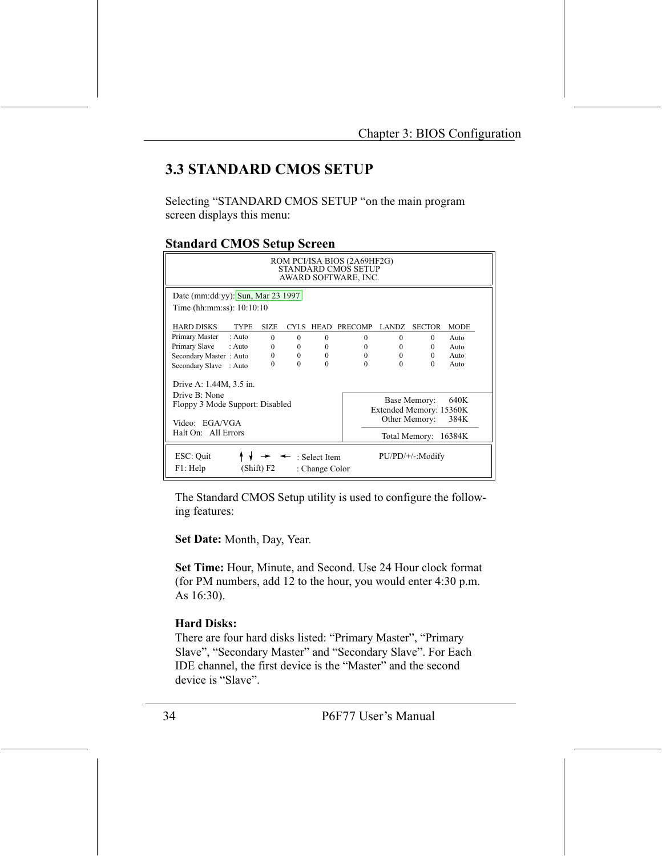### **3.3 STANDARD CMOS SETUP**

Selecting "STANDARD CMOS SETUP "on the main program screen displays this menu:

#### **Standard CMOS Setup Screen**

| ROM PCI/ISA BIOS (2A69HF2G)<br>STANDARD CMOS SETUP<br>AWARD SOFTWARE, INC. |             |          |          |          |                         |               |             |
|----------------------------------------------------------------------------|-------------|----------|----------|----------|-------------------------|---------------|-------------|
| Date (mm:dd:yy): Sun, Mar 23 1997<br>Time (hh:mm:ss): $10:10:10$           |             |          |          |          |                         |               |             |
| <b>HARD DISKS</b><br><b>TYPE</b>                                           | <b>SIZE</b> | CYLS.    | HEAD     | PRECOMP  | <b>LANDZ</b>            | <b>SECTOR</b> | <b>MODE</b> |
| Primary Master<br>$:$ Auto                                                 | $\Omega$    | $\Omega$ | $\Omega$ | $\Omega$ | 0                       | $\Omega$      | $A$ uto     |
| Primary Slave : Auto                                                       | $\Omega$    | $\theta$ | $\Omega$ | $\Omega$ | $\Omega$                | $\Omega$      | Auto        |
| Secondary Master: Auto                                                     | $\Omega$    | $\theta$ | $\Omega$ | $\Omega$ | $\Omega$                | $\Omega$      | Auto        |
| Secondary Slave : Auto                                                     | 0           | $\Omega$ | $\Omega$ | $\Omega$ | $\Omega$                | $\Omega$      | Auto        |
| Drive A: 1.44M, 3.5 in.<br>Drive B: None                                   |             |          |          |          |                         |               |             |
| Floppy 3 Mode Support: Disabled                                            |             |          |          |          |                         | Base Memory:  | 640K        |
|                                                                            |             |          |          |          | Extended Memory: 15360K |               |             |
| Video: EGA/VGA                                                             |             |          |          |          | Other Memory:           | 384K          |             |
| Halt On: All Errors                                                        |             |          |          |          | Total Memory: 16384K    |               |             |
| ESC: Quit<br>: Select Item<br>F1: Help<br>(Shift) F2<br>: Change Color     |             |          |          |          | $PU/PD/+/-: Modify$     |               |             |

The Standard CMOS Setup utility is used to configure the following features:

Set Date: Month, Day, Year.

Set Time: Hour, Minute, and Second. Use 24 Hour clock format (for PM numbers, add 12 to the hour, you would enter 4:30 p.m.) As 16:30).

#### **Hard Disks:**

There are four hard disks listed: "Primary Master", "Primary Slave", "Secondary Master" and "Secondary Slave". For Each IDE channel, the first device is the "Master" and the second device is "Slave".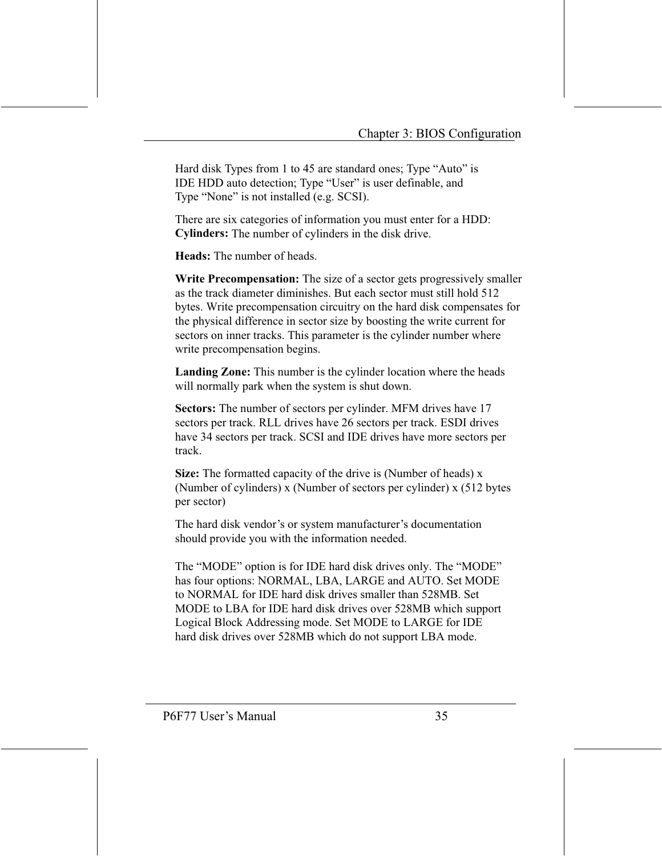Hard disk Types from 1 to 45 are standard ones; Type "Auto" is IDE HDD auto detection; Type "User" is user definable, and Type "None" is not installed (e.g. SCSI).

There are six categories of information you must enter for a HDD: Cylinders: The number of cylinders in the disk drive.

Heads: The number of heads

Write Precompensation: The size of a sector gets progressively smaller as the track diameter diminishes. But each sector must still hold 512 bytes. Write precompensation circuitry on the hard disk compensates for the physical difference in sector size by boosting the write current for sectors on inner tracks. This parameter is the cylinder number where write precompensation begins.

**Landing Zone:** This number is the cylinder location where the heads will normally park when the system is shut down.

Sectors: The number of sectors per cylinder. MFM drives have 17 sectors per track. RLL drives have 26 sectors per track. ESDI drives have 34 sectors per track. SCSI and IDE drives have more sectors per track.

Size: The formatted capacity of the drive is (Number of heads) x (Number of cylinders) x (Number of sectors per cylinder) x (512 bytes per sector)

The hard disk vendor's or system manufacturer's documentation should provide you with the information needed.

The "MODE" option is for IDE hard disk drives only. The "MODE" has four options: NORMAL, LBA, LARGE and AUTO. Set MODE to NORMAL for IDE hard disk drives smaller than 528MB. Set MODE to LBA for IDE hard disk drives over 528MB which support Logical Block Addressing mode. Set MODE to LARGE for IDE hard disk drives over 528MB which do not support LBA mode.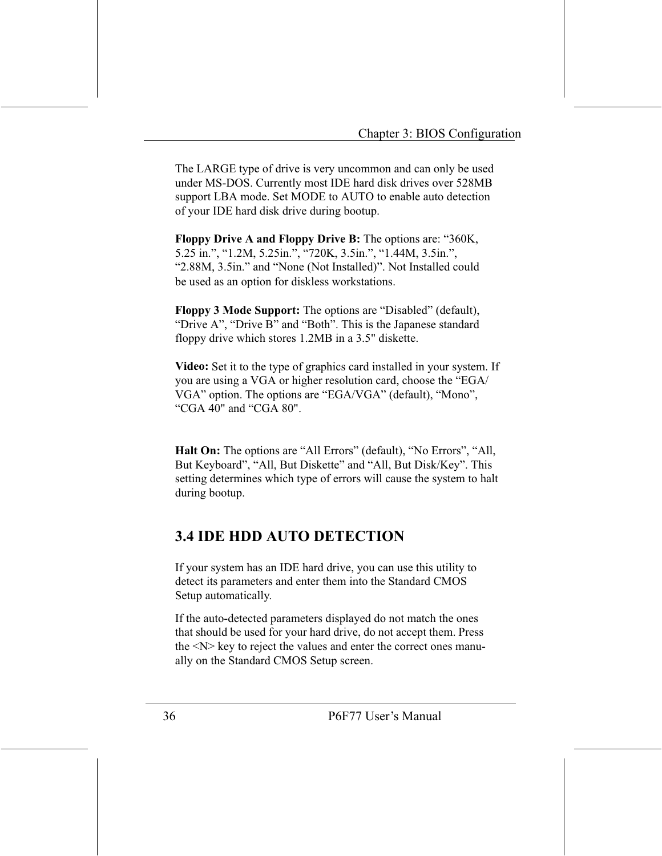The LARGE type of drive is very uncommon and can only be used under MS-DOS. Currently most IDE hard disk drives over 528MB support LBA mode. Set MODE to AUTO to enable auto detection of your IDE hard disk drive during bootup.

**Floppy Drive A and Floppy Drive B:** The options are: "360K, 5.25 in.", "1.2M, 5.25in.", "720K, 3.5in.", "1.44M, 3.5in.", "2.88M, 3.5in." and "None (Not Installed)". Not Installed could be used as an option for diskless workstations.

**Floppy 3 Mode Support:** The options are "Disabled" (default), "Drive A", "Drive B" and "Both". This is the Japanese standard floppy drive which stores 1.2MB in a 3.5" diskette.

Video: Set it to the type of graphics card installed in your system. If you are using a VGA or higher resolution card, choose the "EGA/ VGA" option. The options are "EGA/VGA" (default), "Mono", "CGA 40" and "CGA 80".

Halt On: The options are "All Errors" (default), "No Errors", "All, But Keyboard", "All, But Diskette" and "All, But Disk/Key". This setting determines which type of errors will cause the system to halt during bootup.

### **3.4 IDE HDD AUTO DETECTION**

If your system has an IDE hard drive, you can use this utility to detect its parameters and enter them into the Standard CMOS Setup automatically.

If the auto-detected parameters displayed do not match the ones that should be used for your hard drive, do not accept them. Press the <N> key to reject the values and enter the correct ones manually on the Standard CMOS Setup screen.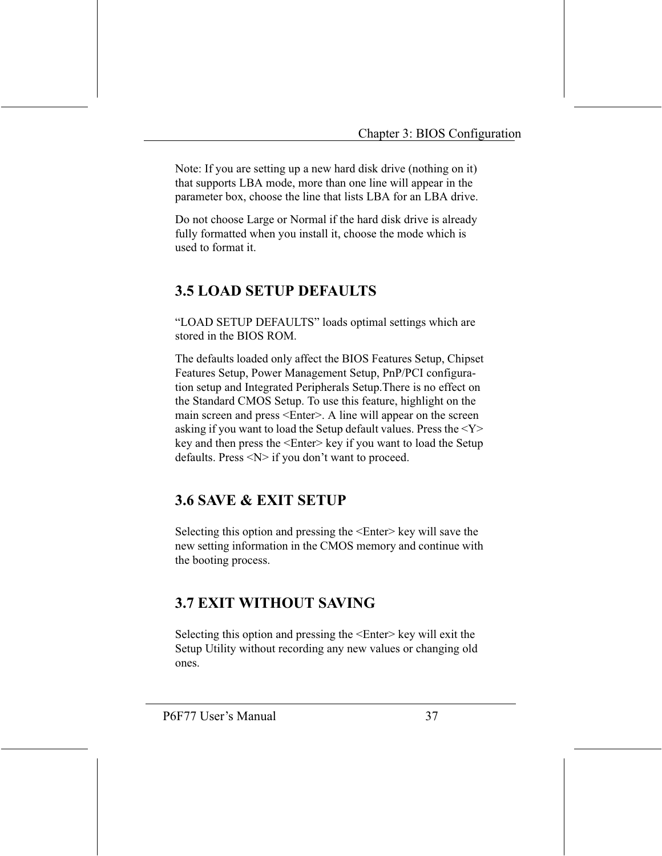Note: If you are setting up a new hard disk drive (nothing on it) that supports LBA mode, more than one line will appear in the parameter box, choose the line that lists LBA for an LBA drive.

Do not choose Large or Normal if the hard disk drive is already fully formatted when you install it, choose the mode which is used to format it.

### **3.5 LOAD SETUP DEFAULTS**

"LOAD SETUP DEFAULTS" loads optimal settings which are stored in the BIOS ROM.

The defaults loaded only affect the BIOS Features Setup, Chipset Features Setup, Power Management Setup, PnP/PCI configuration setup and Integrated Peripherals Setup. There is no effect on the Standard CMOS Setup. To use this feature, highlight on the main screen and press <Enter>. A line will appear on the screen asking if you want to load the Setup default values. Press the  $<$ Y $>$ key and then press the <Enter> key if you want to load the Setup defaults. Press  $\langle N \rangle$  if you don't want to proceed.

### **3.6 SAVE & EXIT SETUP**

Selecting this option and pressing the <Enter> key will save the new setting information in the CMOS memory and continue with the booting process.

### **3.7 EXIT WITHOUT SAVING**

Selecting this option and pressing the <Enter> key will exit the Setup Utility without recording any new values or changing old ones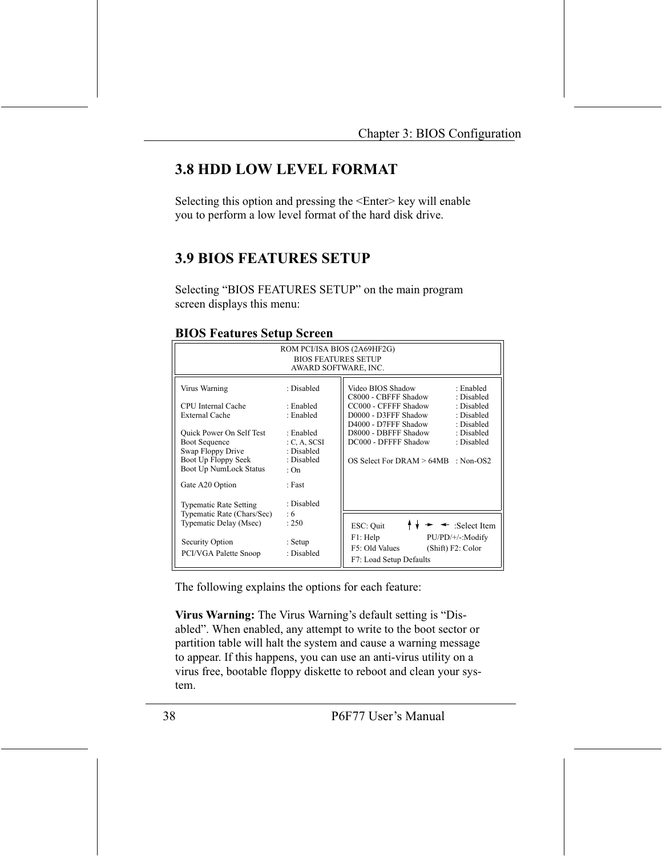### **3.8 HDD LOW LEVEL FORMAT**

Selecting this option and pressing the <Enter> key will enable you to perform a low level format of the hard disk drive.

### **3.9 BIOS FEATURES SETUP**

Selecting "BIOS FEATURES SETUP" on the main program screen displays this menu:

| ROM PCI/ISA BIOS (2A69HF2G)<br><b>BIOS FEATURES SETUP</b><br>AWARD SOFTWARE, INC.                                                                                                                         |                                                                                                                     |                                                                                                                                                                                                                                                                                                              |  |  |
|-----------------------------------------------------------------------------------------------------------------------------------------------------------------------------------------------------------|---------------------------------------------------------------------------------------------------------------------|--------------------------------------------------------------------------------------------------------------------------------------------------------------------------------------------------------------------------------------------------------------------------------------------------------------|--|--|
| Virus Warning<br>CPU Internal Cache<br><b>External Cache</b><br>Quick Power On Self Test<br><b>Boot Sequence</b><br>Swap Floppy Drive<br>Boot Up Floppy Seek<br>Boot Up NumLock Status<br>Gate A20 Option | : Disabled<br>· Enabled<br>: Enabled<br>: Enabled<br>C, A, SCSI<br>: Disabled<br>: Disabled<br>$\cdot$ On<br>: Fast | Video BIOS Shadow<br>: Enabled<br>C8000 - CBFFF Shadow<br>: Disabled<br>CC000 - CFFFF Shadow<br>: Disabled<br>D0000 - D3FFF Shadow<br>: Disabled<br>D4000 - D7FFF Shadow<br>: Disabled<br>D8000 - DBFFF Shadow<br>: Disabled<br>DC000 - DFFFF Shadow<br>: Disabled<br>OS Select For DRAM > 64MB<br>: Non-OS2 |  |  |
| <b>Typematic Rate Setting</b><br>Typematic Rate (Chars/Sec)<br>Typematic Delay (Msec)<br>Security Option<br>PCI/VGA Palette Snoop                                                                         | : Disabled<br>:6<br>: 250<br>: Setup<br>: Disabled                                                                  | ESC: Quit<br>$\triangleleft$ : Select Item<br>F1: Help<br>PU/PD/+/-:Modify<br>F5: Old Values<br>(Shift) F2: Color<br>F7: Load Setup Defaults                                                                                                                                                                 |  |  |

#### **BIOS Features Setup Screen**

The following explains the options for each feature:

Virus Warning: The Virus Warning's default setting is "Disabled". When enabled, any attempt to write to the boot sector or partition table will halt the system and cause a warning message to appear. If this happens, you can use an anti-virus utility on a virus free, bootable floppy diskette to reboot and clean your system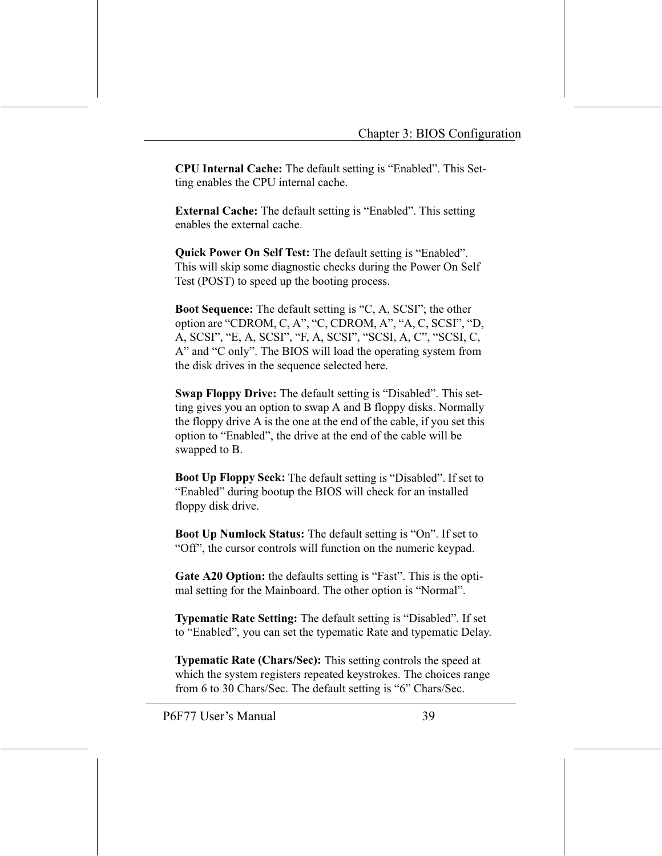**CPU Internal Cache:** The default setting is "Enabled". This Setting enables the CPU internal cache.

**External Cache:** The default setting is "Enabled". This setting enables the external cache.

**Quick Power On Self Test:** The default setting is "Enabled". This will skip some diagnostic checks during the Power On Self Test (POST) to speed up the booting process.

**Boot Sequence:** The default setting is "C, A, SCSI"; the other option are "CDROM, C, A", "C, CDROM, A", "A, C, SCSI", "D, A, SCSI", "E, A, SCSI", "F, A, SCSI", "SCSI, A, C", "SCSI, C, A" and "C only". The BIOS will load the operating system from the disk drives in the sequence selected here.

Swap Floppy Drive: The default setting is "Disabled". This setting gives you an option to swap A and B floppy disks. Normally the floppy drive A is the one at the end of the cable, if you set this option to "Enabled", the drive at the end of the cable will be swapped to B.

**Boot Up Floppy Seek:** The default setting is "Disabled". If set to "Enabled" during bootup the BIOS will check for an installed floppy disk drive.

Boot Up Numlock Status: The default setting is "On". If set to "Off", the cursor controls will function on the numeric keypad.

Gate A20 Option: the defaults setting is "Fast". This is the optimal setting for the Mainboard. The other option is "Normal".

**Typematic Rate Setting:** The default setting is "Disabled". If set to "Enabled", you can set the typematic Rate and typematic Delay.

Typematic Rate (Chars/Sec): This setting controls the speed at which the system registers repeated keystrokes. The choices range from 6 to 30 Chars/Sec. The default setting is "6" Chars/Sec.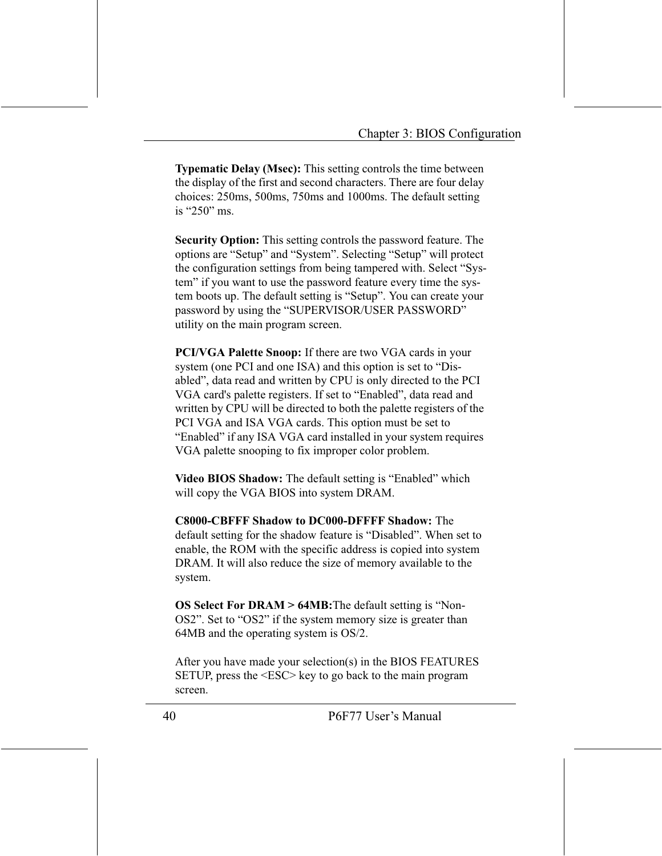**Typematic Delay (Msec):** This setting controls the time between the display of the first and second characters. There are four delay choices: 250ms, 500ms, 750ms and 1000ms. The default setting is " $250$ " ms.

Security Option: This setting controls the password feature. The options are "Setup" and "System". Selecting "Setup" will protect the configuration settings from being tampered with. Select "System" if you want to use the password feature every time the system boots up. The default setting is "Setup". You can create your password by using the "SUPERVISOR/USER PASSWORD" utility on the main program screen.

**PCI/VGA Palette Snoop:** If there are two VGA cards in your system (one PCI and one ISA) and this option is set to "Disabled", data read and written by CPU is only directed to the PCI VGA card's palette registers. If set to "Enabled", data read and written by CPU will be directed to both the palette registers of the PCI VGA and ISA VGA cards. This option must be set to "Enabled" if any ISA VGA card installed in your system requires VGA palette snooping to fix improper color problem.

Video BIOS Shadow: The default setting is "Enabled" which will copy the VGA BIOS into system DRAM.

**C8000-CBFFF Shadow to DC000-DFFFF Shadow: The** default setting for the shadow feature is "Disabled". When set to enable, the ROM with the specific address is copied into system DRAM. It will also reduce the size of memory available to the system.

**OS Select For DRAM > 64MB:** The default setting is "Non-OS2". Set to "OS2" if the system memory size is greater than 64MB and the operating system is OS/2.

After you have made your selection(s) in the BIOS FEATURES SETUP, press the <ESC> key to go back to the main program screen.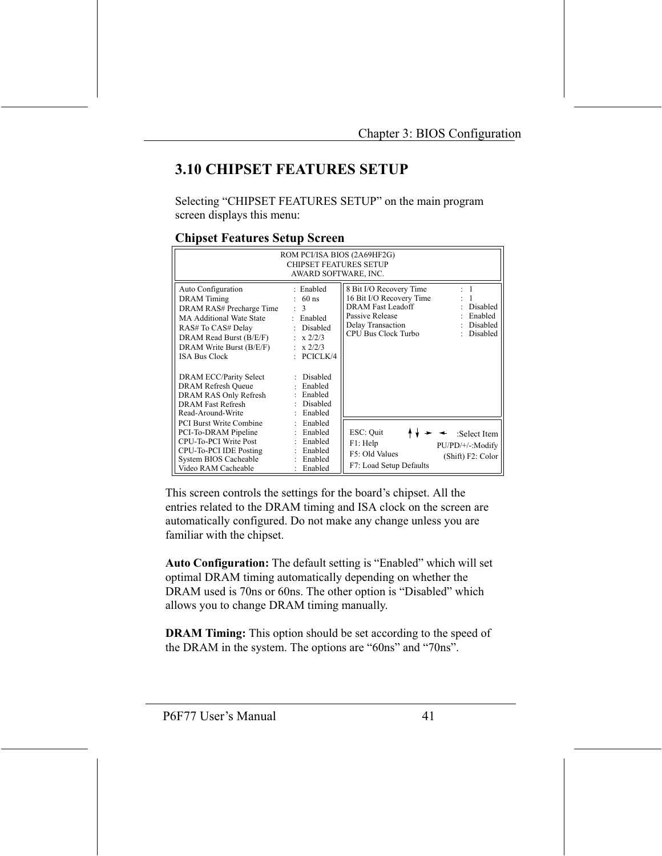### **3.10 CHIPSET FEATURES SETUP**

Selecting "CHIPSET FEATURES SETUP" on the main program screen displays this menu:

| ROM PCI/ISA BIOS (2A69HF2G)<br><b>CHIPSET FEATURES SETUP</b><br>AWARD SOFTWARE, INC.                                                                                                                                                                                                                                            |                                                                                                                                                                                                            |                                                                                                                                                                                                                 |  |  |
|---------------------------------------------------------------------------------------------------------------------------------------------------------------------------------------------------------------------------------------------------------------------------------------------------------------------------------|------------------------------------------------------------------------------------------------------------------------------------------------------------------------------------------------------------|-----------------------------------------------------------------------------------------------------------------------------------------------------------------------------------------------------------------|--|--|
| Auto Configuration<br><b>DRAM</b> Timing<br>DRAM RAS# Precharge Time<br><b>MA Additional Wate State</b><br>RAS# To CAS# Delay<br>DRAM Read Burst (B/E/F)<br>DRAM Write Burst (B/E/F)<br><b>ISA Bus Clock</b><br>DRAM ECC/Parity Select<br>DRAM Refresh Queue<br>DRAM RAS Only Refresh<br>DRAM Fast Refresh<br>Read-Around-Write | : Enabled<br>$60$ ns<br>$\mathbf{3}$<br>Enabled<br>$\sim$<br>: Disabled<br>$\div x \frac{2}{2}$<br>$\pm x \frac{2}{2}$<br>$\Gamma$ PCICLK/4<br>: Disabled<br>: Enabled<br>: Enabled<br>Disabled<br>Enabled | $\overline{1}$<br>8 Bit I/O Recovery Time<br>16 Bit I/O Recovery Time<br><b>DRAM Fast Leadoff</b><br>Disabled<br>Passive Release<br>Enabled<br>Delay Transaction<br>Disabled<br>CPU Bus Clock Turbo<br>Disabled |  |  |
| <b>PCI Burst Write Combine</b><br>PCI-To-DRAM Pipeline<br><b>CPU-To-PCI Write Post</b><br>CPU-To-PCI IDE Posting<br>System BIOS Cacheable<br>Video RAM Cacheable                                                                                                                                                                | Enabled<br>Enabled<br>÷.<br>Enabled<br>Enabled<br>Enabled<br>Enabled                                                                                                                                       | ESC: Quit<br>:Select Item<br>F1: Help<br>PU/PD/+/-:Modify<br>F5: Old Values<br>(Shift) F2: Color<br>F7: Load Setup Defaults                                                                                     |  |  |

#### **Chinset Features Setun Screen**

This screen controls the settings for the board's chipset. All the entries related to the DRAM timing and ISA clock on the screen are automatically configured. Do not make any change unless you are familiar with the chipset.

Auto Configuration: The default setting is "Enabled" which will set optimal DRAM timing automatically depending on whether the DRAM used is 70ns or 60ns. The other option is "Disabled" which allows you to change DRAM timing manually.

**DRAM Timing:** This option should be set according to the speed of the DRAM in the system. The options are "60ns" and "70ns".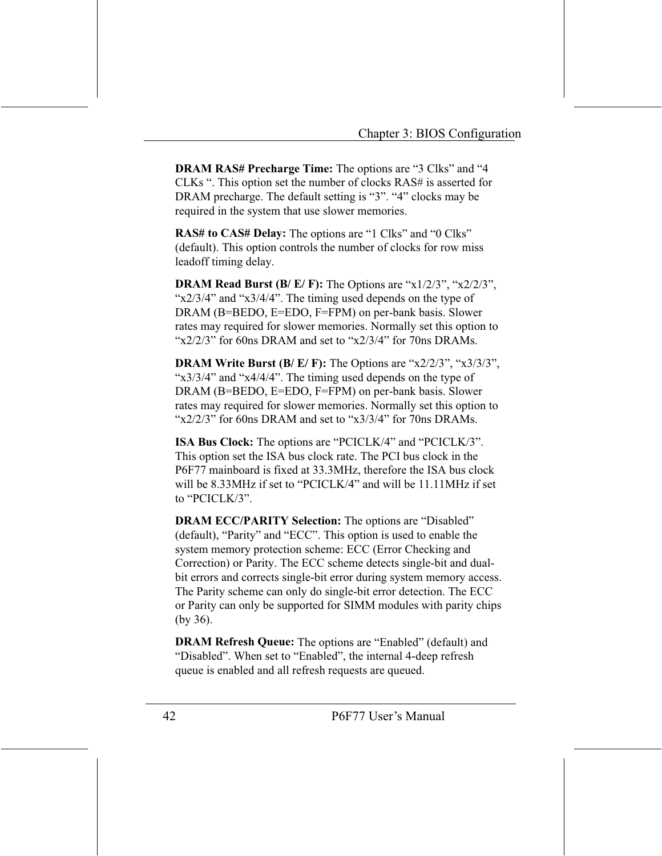**DRAM RAS# Precharge Time:** The options are "3 Clks" and "4 CLKs ". This option set the number of clocks RAS# is asserted for DRAM precharge. The default setting is "3". "4" clocks may be required in the system that use slower memories.

**RAS# to CAS# Delay:** The options are "1 Clks" and "0 Clks" (default). This option controls the number of clocks for row miss leadoff timing delay.

**DRAM Read Burst (B/E/F):** The Options are " $x1/2/3$ ", " $x2/2/3$ ", " $x\frac{2}{3}$ /4" and " $x\frac{3}{4}$ /4". The timing used depends on the type of DRAM (B=BEDO, E=EDO, F=FPM) on per-bank basis. Slower rates may required for slower memories. Normally set this option to "x2/2/3" for 60ns DRAM and set to "x2/3/4" for 70ns DRAMs.

**DRAM Write Burst (B/E/F):** The Options are " $x2/2/3$ ", " $x3/3/3$ ", " $x\frac{3}{3}/\frac{4}{7}$ " and " $x\frac{4}{4}/\frac{4}{7}$ ". The timing used depends on the type of DRAM (B=BEDO, E=EDO, F=FPM) on per-bank basis. Slower rates may required for slower memories. Normally set this option to "x2/2/3" for 60ns DRAM and set to "x3/3/4" for 70ns DRAMs.

ISA Bus Clock: The options are "PCICLK/4" and "PCICLK/3". This option set the ISA bus clock rate. The PCI bus clock in the P6F77 mainboard is fixed at 33.3MHz, therefore the ISA bus clock will be 8.33MHz if set to "PCICLK/4" and will be 11.11MHz if set to "PCICLK/3".

**DRAM ECC/PARITY Selection:** The options are "Disabled" (default), "Parity" and "ECC". This option is used to enable the system memory protection scheme: ECC (Error Checking and Correction) or Parity. The ECC scheme detects single-bit and dualbit errors and corrects single-bit error during system memory access. The Parity scheme can only do single-bit error detection. The ECC or Parity can only be supported for SIMM modules with parity chips  $(by 36).$ 

**DRAM Refresh Queue:** The options are "Enabled" (default) and "Disabled". When set to "Enabled", the internal 4-deep refresh queue is enabled and all refresh requests are queued.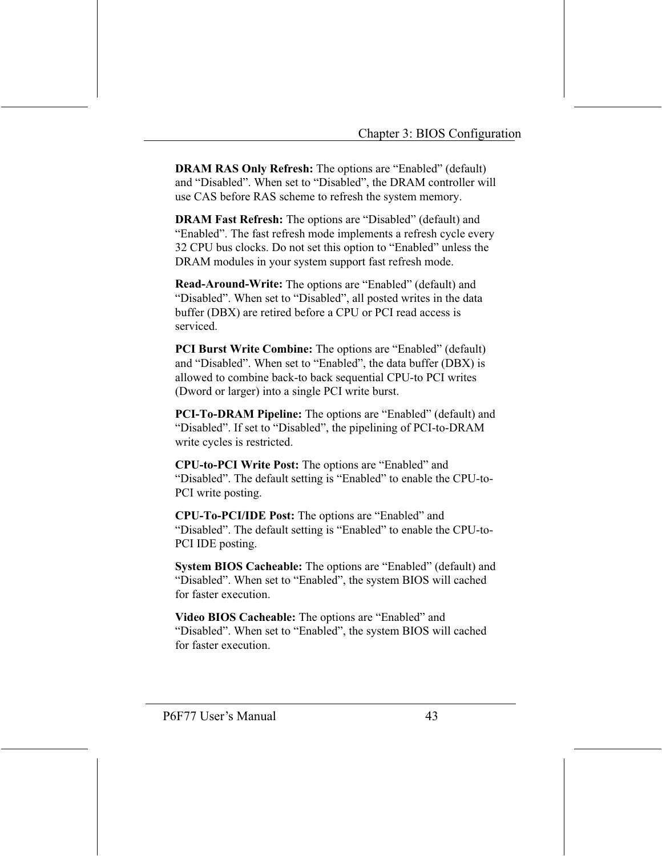**DRAM RAS Only Refresh:** The options are "Enabled" (default) and "Disabled". When set to "Disabled", the DRAM controller will use CAS before RAS scheme to refresh the system memory.

**DRAM Fast Refresh:** The options are "Disabled" (default) and "Enabled". The fast refresh mode implements a refresh cycle every 32 CPU bus clocks. Do not set this option to "Enabled" unless the DRAM modules in your system support fast refresh mode.

Read-Around-Write: The options are "Enabled" (default) and "Disabled". When set to "Disabled", all posted writes in the data buffer (DBX) are retired before a CPU or PCI read access is serviced.

**PCI Burst Write Combine:** The options are "Enabled" (default) and "Disabled". When set to "Enabled", the data buffer (DBX) is allowed to combine back-to back sequential CPU-to PCI writes (Dword or larger) into a single PCI write burst.

PCI-To-DRAM Pipeline: The options are "Enabled" (default) and "Disabled". If set to "Disabled", the pipelining of PCI-to-DRAM write cycles is restricted.

**CPU-to-PCI Write Post:** The options are "Enabled" and "Disabled". The default setting is "Enabled" to enable the CPU-to-PCI write posting.

**CPU-To-PCI/IDE Post:** The options are "Enabled" and "Disabled". The default setting is "Enabled" to enable the CPU-to-PCI IDE posting.

System BIOS Cacheable: The options are "Enabled" (default) and "Disabled". When set to "Enabled", the system BIOS will cached for faster execution.

Video BIOS Cacheable: The options are "Enabled" and "Disabled". When set to "Enabled", the system BIOS will cached for faster execution.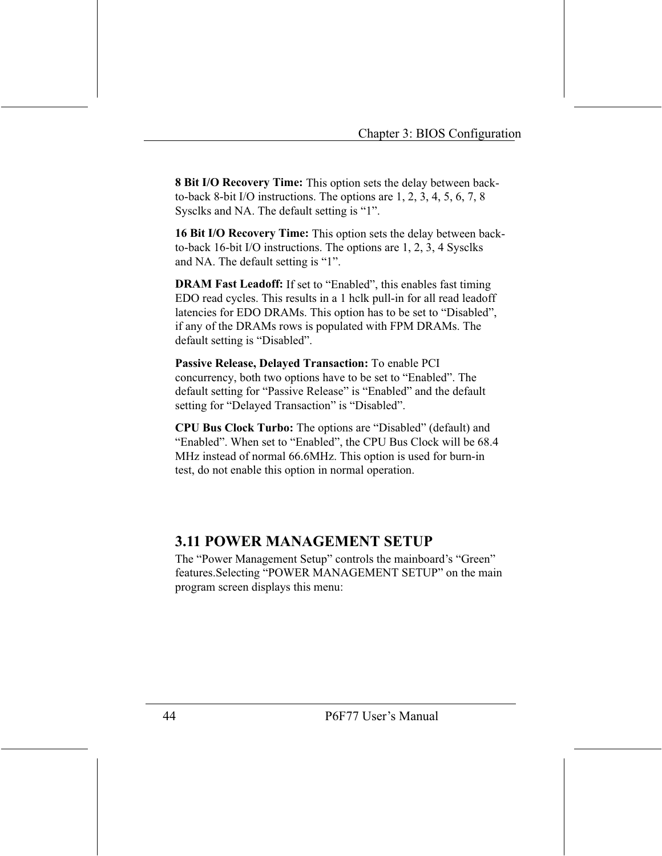8 Bit I/O Recovery Time: This option sets the delay between backto-back 8-bit I/O instructions. The options are  $1, 2, 3, 4, 5, 6, 7, 8$ Sysclks and NA. The default setting is "1".

16 Bit I/O Recovery Time: This option sets the delay between backto-back 16-bit I/O instructions. The options are 1, 2, 3, 4 Sysclks and NA. The default setting is "1".

**DRAM Fast Leadoff:** If set to "Enabled", this enables fast timing EDO read cycles. This results in a 1 hclk pull-in for all read leadoff latencies for EDO DRAMs. This option has to be set to "Disabled", if any of the DRAMs rows is populated with FPM DRAMs. The default setting is "Disabled".

Passive Release, Delayed Transaction: To enable PCI concurrency, both two options have to be set to "Enabled". The default setting for "Passive Release" is "Enabled" and the default setting for "Delayed Transaction" is "Disabled".

CPU Bus Clock Turbo: The options are "Disabled" (default) and "Enabled". When set to "Enabled", the CPU Bus Clock will be 68.4 MHz instead of normal 66.6MHz. This option is used for burn-in test, do not enable this option in normal operation.

### **3.11 POWER MANAGEMENT SETUP**

The "Power Management Setup" controls the mainboard's "Green" features. Selecting "POWER MANAGEMENT SETUP" on the main program screen displays this menu: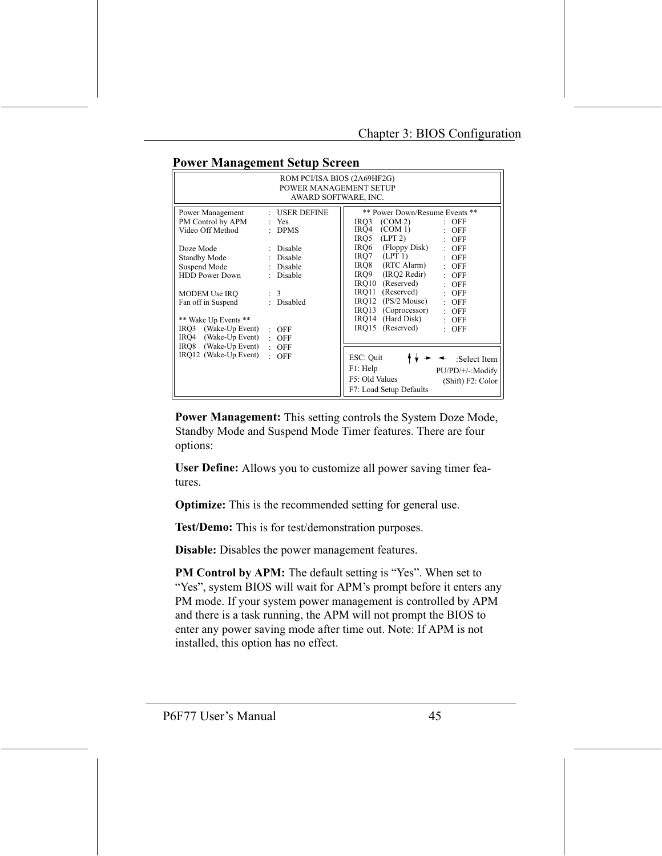| ROM PCI/ISA BIOS (2A69HF2G)<br>POWER MANAGEMENT SETUP<br>AWARD SOFTWARE, INC.                                      |                                                                  |                                                                                                                                                                                                       |  |  |  |
|--------------------------------------------------------------------------------------------------------------------|------------------------------------------------------------------|-------------------------------------------------------------------------------------------------------------------------------------------------------------------------------------------------------|--|--|--|
| Power Management<br>PM Control by APM<br>Video Off Method                                                          | : USER DEFINE<br>: Yes<br>$:$ DPMS                               | ** Power Down/Resume Events **<br>(COM 2)<br>IRQ3<br>$:$ OFF<br>$IRO4$ (COM 1)<br>$\therefore$ OFF<br>$IRQ5$ (LPT 2)<br>$:$ OFF                                                                       |  |  |  |
| Doze Mode<br>Standby Mode<br>Suspend Mode<br><b>HDD Power Down</b><br>MODEM Use IRO                                | : Disable<br>: Disable<br>: Disable<br>Disable<br>$\therefore$ 3 | $IRQ6$ (Floppy Disk)<br>$\therefore$ OFF<br>$IRO7$ (LPT 1)<br>$:$ OFF<br>IRO8 (RTC Alarm)<br>$:$ OFF<br>IRO9<br>(IRO2 Redir)<br>$:$ OFF<br>IRQ10 (Reserved)<br>$:$ OFF<br>IRO11 (Reserved)<br>$:$ OFF |  |  |  |
| Fan off in Suspend<br>** Wake Up Events **<br>IRQ3 (Wake-Up Event)<br>IRQ4 (Wake-Up Event)<br>IRO8 (Wake-Up Event) | : Disabled<br>$:$ OFF<br>$:$ OFF                                 | $IRO12$ (PS/2 Mouse)<br>$:$ OFF<br>IRQ13 (Coprocessor)<br>$:$ OFF<br>IRQ14 (Hard Disk)<br>$\therefore$ OFF<br>IRO15 (Reserved)<br>$:$ OFF                                                             |  |  |  |
| IRQ12 (Wake-Up Event)                                                                                              | $:$ OFF<br>$:$ OFF                                               | ESC: Quit<br>:Select Item<br>F1: Help<br>$PU/PD/+/-:Modify$<br>F5: Old Values<br>(Shift) F2: Color<br>F7: Load Setup Defaults                                                                         |  |  |  |

#### **Power Management Setup Screen**

**Power Management:** This setting controls the System Doze Mode, Standby Mode and Suspend Mode Timer features. There are four options:

**User Define:** Allows you to customize all power saving timer features.

**Optimize:** This is the recommended setting for general use.

Test/Demo: This is for test/demonstration purposes.

**Disable:** Disables the power management features.

**PM Control by APM:** The default setting is "Yes". When set to "Yes", system BIOS will wait for APM's prompt before it enters any PM mode. If your system power management is controlled by APM and there is a task running, the APM will not prompt the BIOS to enter any power saving mode after time out. Note: If APM is not installed, this option has no effect.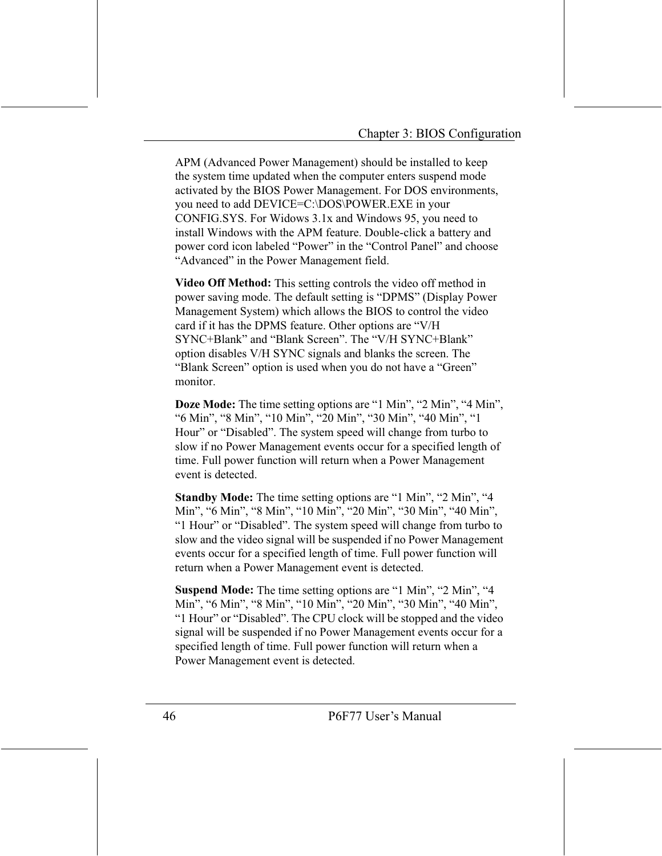APM (Advanced Power Management) should be installed to keep the system time updated when the computer enters suspend mode activated by the BIOS Power Management. For DOS environments, vou need to add DEVICE=C:\DOS\POWER.EXE in your CONFIG.SYS. For Widows 3.1x and Windows 95, you need to install Windows with the APM feature. Double-click a battery and power cord icon labeled "Power" in the "Control Panel" and choose "Advanced" in the Power Management field.

Video Off Method: This setting controls the video off method in power saving mode. The default setting is "DPMS" (Display Power Management System) which allows the BIOS to control the video card if it has the DPMS feature. Other options are "V/H SYNC+Blank" and "Blank Screen". The "V/H SYNC+Blank" option disables V/H SYNC signals and blanks the screen. The "Blank Screen" option is used when you do not have a "Green" monitor.

**Doze Mode:** The time setting options are "1 Min", "2 Min", "4 Min", "6 Min", "8 Min", "10 Min", "20 Min", "30 Min", "40 Min", "1 Hour" or "Disabled". The system speed will change from turbo to slow if no Power Management events occur for a specified length of time. Full power function will return when a Power Management event is detected.

Standby Mode: The time setting options are "1 Min", "2 Min", "4 Min", "6 Min", "8 Min", "10 Min", "20 Min", "30 Min", "40 Min", "I Hour" or "Disabled". The system speed will change from turbo to slow and the video signal will be suspended if no Power Management events occur for a specified length of time. Full power function will return when a Power Management event is detected.

**Suspend Mode:** The time setting options are "1 Min", "2 Min", "4 Min", "6 Min", "8 Min", "10 Min", "20 Min", "30 Min", "40 Min", "1 Hour" or "Disabled". The CPU clock will be stopped and the video signal will be suspended if no Power Management events occur for a specified length of time. Full power function will return when a Power Management event is detected.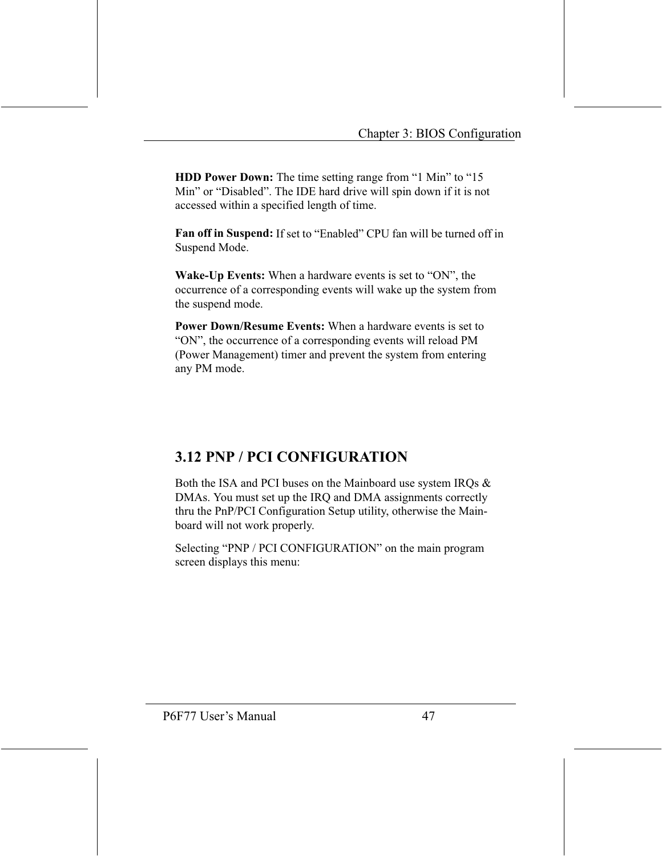**HDD Power Down:** The time setting range from "1 Min" to "15 Min" or "Disabled". The IDE hard drive will spin down if it is not accessed within a specified length of time.

Fan off in Suspend: If set to "Enabled" CPU fan will be turned off in Suspend Mode.

**Wake-Up Events:** When a hardware events is set to "ON", the occurrence of a corresponding events will wake up the system from the suspend mode.

Power Down/Resume Events: When a hardware events is set to "ON", the occurrence of a corresponding events will reload PM (Power Management) timer and prevent the system from entering any PM mode.

### **3.12 PNP / PCI CONFIGURATION**

Both the ISA and PCI buses on the Mainboard use system IRQs & DMAs. You must set up the IRO and DMA assignments correctly thru the PnP/PCI Configuration Setup utility, otherwise the Mainboard will not work properly.

Selecting "PNP / PCI CONFIGURATION" on the main program screen displays this menu: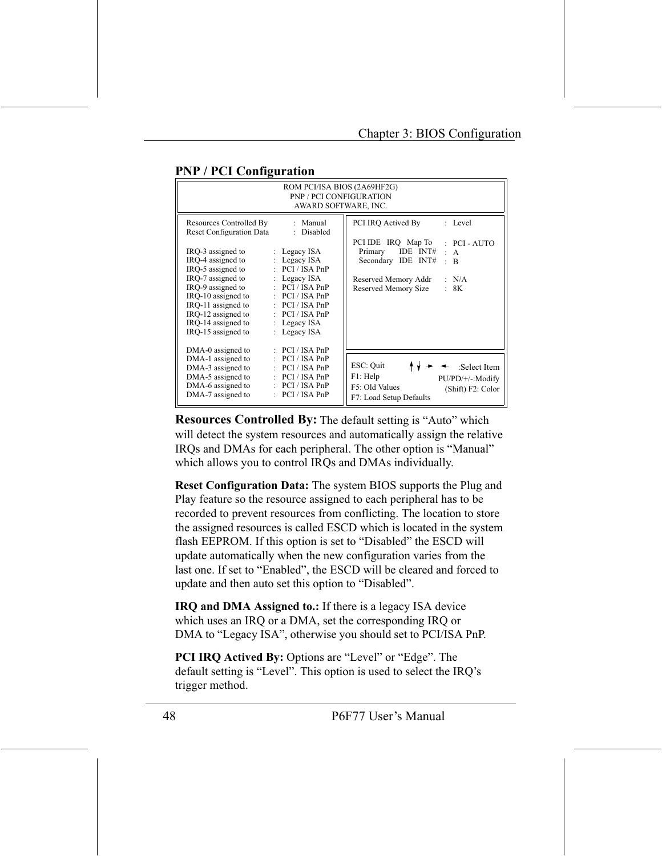| ROM PCI/ISA BIOS (2A69HF2G)<br><b>PNP / PCI CONFIGURATION</b><br>AWARD SOFTWARE, INC.                                                                                                                                                                                             |                                                                                                                                                                                                                                        |                                                                                                                                                                                                                           |  |  |
|-----------------------------------------------------------------------------------------------------------------------------------------------------------------------------------------------------------------------------------------------------------------------------------|----------------------------------------------------------------------------------------------------------------------------------------------------------------------------------------------------------------------------------------|---------------------------------------------------------------------------------------------------------------------------------------------------------------------------------------------------------------------------|--|--|
| Resources Controlled By<br><b>Reset Configuration Data</b><br>IRQ-3 assigned to<br>IRO-4 assigned to<br>IRO-5 assigned to<br>IRO-7 assigned to<br>IRQ-9 assigned to<br>IRO-10 assigned to<br>IRQ-11 assigned to<br>IRQ-12 assigned to<br>IRQ-14 assigned to<br>IRO-15 assigned to | : Manual<br>: Disabled<br>: Legacy $ISA$<br>: Legacy ISA<br>$\therefore$ PCI / ISA PnP<br>: Legacy $ISA$<br>: PCI/ISA PnP<br>: PCI/ISA PnP<br>$\therefore$ PCI / ISA PnP<br>$\therefore$ PCI/ISA PnP<br>: Legacy $ISA$<br>: Legacy ISA | PCI IRO Actived By<br>: Level<br>PCI IDE IRQ Map To<br>$:$ PCI - AUTO<br>IDE INT#<br>Primary<br>: A<br>Secondary IDE INT#<br>$\bullet$<br>$\overline{B}$<br>Reserved Memory Addr<br>: N/A<br>Reserved Memory Size<br>: 8K |  |  |
| DMA-0 assigned to<br>DMA-1 assigned to<br>DMA-3 assigned to<br>DMA-5 assigned to<br>DMA-6 assigned to<br>DMA-7 assigned to                                                                                                                                                        | $\therefore$ PCI/ISA PnP<br>: PCI/ISA PnP<br>$\therefore$ PCI/ISA PnP<br>$\therefore$ PCI/ISA PnP<br>: PCI/ISA PnP<br>$\therefore$ PCI/ISA PnP                                                                                         | ESC: Quit<br>$\leftarrow$ :Select Item<br>F1: Help<br>PU/PD/+/-:Modify<br>F5: Old Values<br>(Shift) F2: Color<br>F7: Load Setup Defaults                                                                                  |  |  |

#### **PNP / PCI Configuration**

**Resources Controlled By:** The default setting is "Auto" which will detect the system resources and automatically assign the relative IRQs and DMAs for each peripheral. The other option is "Manual" which allows you to control IRQs and DMAs individually.

Reset Configuration Data: The system BIOS supports the Plug and Play feature so the resource assigned to each peripheral has to be recorded to prevent resources from conflicting. The location to store the assigned resources is called ESCD which is located in the system flash EEPROM. If this option is set to "Disabled" the ESCD will update automatically when the new configuration varies from the last one. If set to "Enabled", the ESCD will be cleared and forced to update and then auto set this option to "Disabled".

**IRQ and DMA Assigned to.:** If there is a legacy ISA device which uses an IRO or a DMA, set the corresponding IRO or DMA to "Legacy ISA", otherwise you should set to PCI/ISA PnP.

**PCI IRQ Actived By:** Options are "Level" or "Edge". The default setting is "Level". This option is used to select the IRQ's trigger method.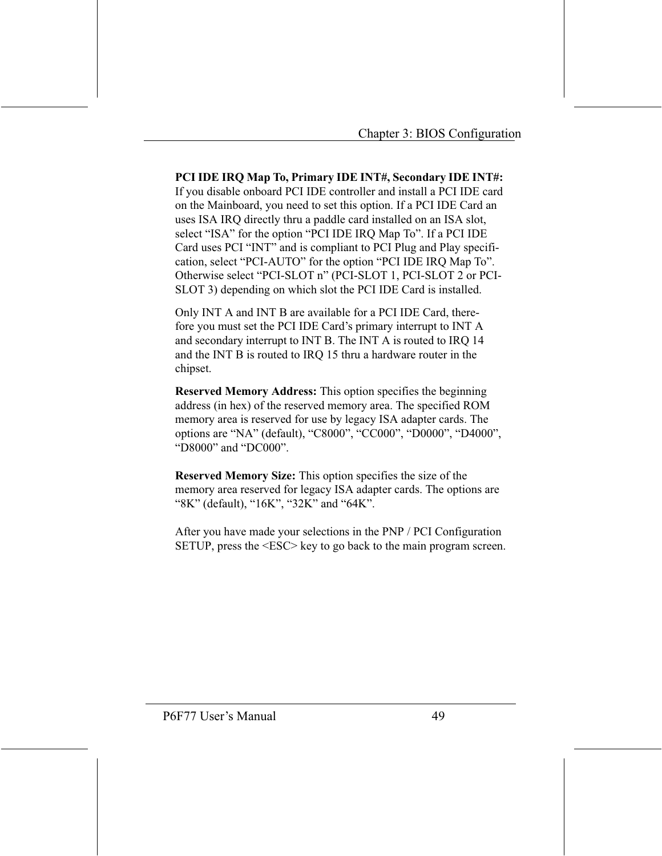PCI IDE IRQ Map To, Primary IDE INT#, Secondary IDE INT#: If you disable onboard PCI IDE controller and install a PCI IDE card on the Mainboard, you need to set this option. If a PCI IDE Card an uses ISA IRQ directly thru a paddle card installed on an ISA slot, select "ISA" for the option "PCI IDE IRQ Map To". If a PCI IDE Card uses PCI "INT" and is compliant to PCI Plug and Play specification, select "PCI-AUTO" for the option "PCI IDE IRQ Map To". Otherwise select "PCI-SLOT n" (PCI-SLOT 1, PCI-SLOT 2 or PCI-SLOT 3) depending on which slot the PCI IDE Card is installed.

Only INT A and INT B are available for a PCI IDE Card, therefore you must set the PCI IDE Card's primary interrupt to INT A and secondary interrupt to INT B. The INT A is routed to IRQ 14 and the INT B is routed to IRQ 15 thru a hardware router in the chipset.

**Reserved Memory Address:** This option specifies the beginning address (in hex) of the reserved memory area. The specified ROM memory area is reserved for use by legacy ISA adapter cards. The options are "NA" (default), "C8000", "CC000", "D0000", "D4000", "D8000" and "DC000".

Reserved Memory Size: This option specifies the size of the memory area reserved for legacy ISA adapter cards. The options are "8K" (default), "16K", "32K" and "64K".

After you have made your selections in the PNP / PCI Configuration SETUP, press the <ESC> key to go back to the main program screen.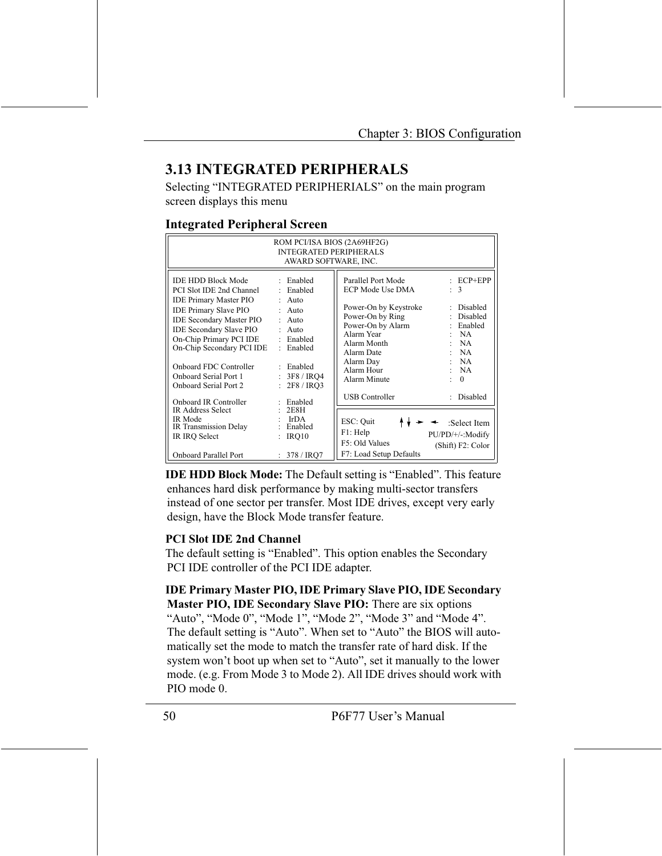### **3.13 INTEGRATED PERIPHERALS**

Selecting "INTEGRATED PERIPHERIALS" on the main program screen displays this menu

#### **Integrated Peripheral Screen**

| ROM PCI/ISA BIOS (2A69HF2G)<br><b>INTEGRATED PERIPHERALS</b><br>AWARD SOFTWARE, INC.                                                                                                                                                                                                                                                   |                                                                                                                                               |                                                                                                                                                                                                |                                                                                                                        |  |
|----------------------------------------------------------------------------------------------------------------------------------------------------------------------------------------------------------------------------------------------------------------------------------------------------------------------------------------|-----------------------------------------------------------------------------------------------------------------------------------------------|------------------------------------------------------------------------------------------------------------------------------------------------------------------------------------------------|------------------------------------------------------------------------------------------------------------------------|--|
| <b>IDE HDD Block Mode</b><br>PCI Slot IDE 2nd Channel<br><b>IDE Primary Master PIO</b><br><b>IDE Primary Slave PIO</b><br><b>IDE Secondary Master PIO</b><br><b>IDE Secondary Slave PIO</b><br>On-Chip Primary PCI IDE<br>On-Chip Secondary PCI IDE<br><b>Onboard FDC Controller</b><br>Onboard Serial Port 1<br>Onboard Serial Port 2 | : Enabled<br>: Enabled<br>$:$ Auto<br>$:$ Auto<br>$:$ Auto<br>$:$ Auto<br>: Enabled<br>: Enabled<br>: Enabled<br>: 3F8 / IRO4<br>: 2F8 / IRO3 | Parallel Port Mode<br>ECP Mode Use DMA<br>Power-On by Keystroke<br>Power-On by Ring<br>Power-On by Alarm<br>Alarm Year<br>Alarm Month<br>Alarm Date<br>Alarm Day<br>Alarm Hour<br>Alarm Minute | $\pm$ ECP+EPP<br>$\therefore$ 3<br>: Disabled<br>Disabled<br>: Enabled<br>:NA<br>:NA<br>:NA<br>:NA<br>: NA<br>$\Omega$ |  |
| Onboard IR Controller<br><b>IR Address Select</b><br>IR Mode<br>IR Transmission Delay<br>IR IRQ Select                                                                                                                                                                                                                                 | : Enabled<br>2E8H<br>: IrDA<br>: Enabled<br>IRQ10<br>$\ddot{\phantom{a}}$                                                                     | <b>USB</b> Controller<br>ESC: Quit<br>F1: Help<br>F5: Old Values                                                                                                                               | : Disabled<br>$\leftarrow$ : Select Item<br>PU/PD/+/-: Modify<br>(Shift) F2: Color                                     |  |
| <b>Onboard Parallel Port</b>                                                                                                                                                                                                                                                                                                           | : 378 / IRO7                                                                                                                                  | F7: Load Setup Defaults                                                                                                                                                                        |                                                                                                                        |  |

**IDE HDD Block Mode:** The Default setting is "Enabled". This feature enhances hard disk performance by making multi-sector transfers instead of one sector per transfer. Most IDE drives, except very early design, have the Block Mode transfer feature.

#### **PCI Slot IDE 2nd Channel**

The default setting is "Enabled". This option enables the Secondary PCI IDE controller of the PCI IDE adapter.

#### **IDE Primary Master PIO, IDE Primary Slave PIO, IDE Secondary** Master PIO, IDE Secondary Slave PIO: There are six options

"Auto", "Mode 0", "Mode 1", "Mode 2", "Mode 3" and "Mode 4". The default setting is "Auto". When set to "Auto" the BIOS will automatically set the mode to match the transfer rate of hard disk. If the system won't boot up when set to "Auto", set it manually to the lower mode. (e.g. From Mode 3 to Mode 2). All IDE drives should work with  $PIO$  mode  $0$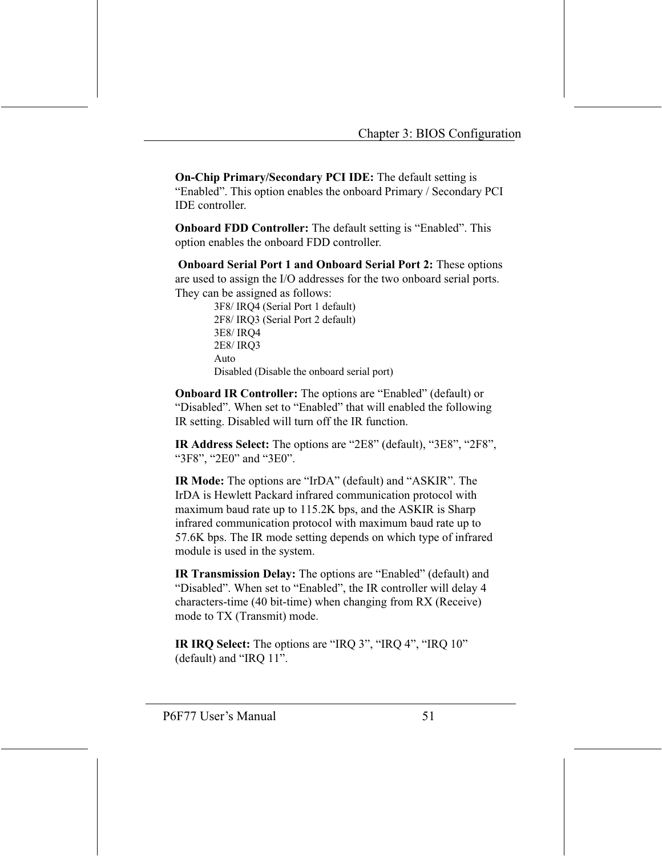On-Chip Primary/Secondary PCI IDE: The default setting is "Enabled". This option enables the onboard Primary / Secondary PCI **IDE** controller.

**Onboard FDD Controller:** The default setting is "Enabled". This option enables the onboard FDD controller.

**Onboard Serial Port 1 and Onboard Serial Port 2:** These options are used to assign the I/O addresses for the two onboard serial ports. They can be assigned as follows:

> 3F8/IRQ4 (Serial Port 1 default) 2F8/IRQ3 (Serial Port 2 default) 3E8/IRQ4 2E8/IRQ3 Auto Disabled (Disable the onboard serial port)

**Onboard IR Controller:** The options are "Enabled" (default) or "Disabled". When set to "Enabled" that will enabled the following IR setting. Disabled will turn off the IR function.

**IR Address Select:** The options are "2E8" (default), "3E8", "2F8", "3F8", "2E0" and "3E0".

IR Mode: The options are "IrDA" (default) and "ASKIR". The IrDA is Hewlett Packard infrared communication protocol with maximum baud rate up to 115.2K bps, and the ASKIR is Sharp infrared communication protocol with maximum baud rate up to 57.6K bps. The IR mode setting depends on which type of infrared module is used in the system.

**IR Transmission Delay:** The options are "Enabled" (default) and "Disabled". When set to "Enabled", the IR controller will delay 4 characters-time (40 bit-time) when changing from RX (Receive) mode to TX (Transmit) mode.

IR IRQ Select: The options are "IRQ 3", "IRQ 4", "IRQ 10" (default) and "IRQ 11".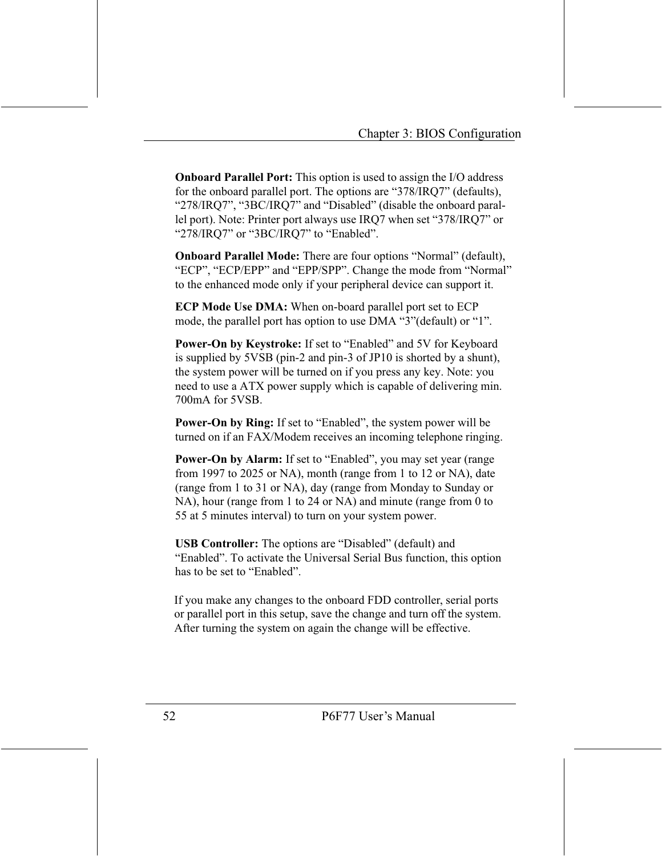**Onboard Parallel Port:** This option is used to assign the I/O address for the onboard parallel port. The options are "378/IRQ7" (defaults), "278/IRQ7", "3BC/IRQ7" and "Disabled" (disable the onboard parallel port). Note: Printer port always use IRQ7 when set "378/IRQ7" or "278/IRQ7" or "3BC/IRQ7" to "Enabled".

**Onboard Parallel Mode:** There are four options "Normal" (default), "ECP", "ECP/EPP" and "EPP/SPP". Change the mode from "Normal" to the enhanced mode only if your peripheral device can support it.

**ECP Mode Use DMA:** When on-board parallel port set to ECP mode, the parallel port has option to use DMA "3" (default) or "1".

Power-On by Keystroke: If set to "Enabled" and 5V for Keyboard is supplied by 5VSB (pin-2 and pin-3 of JP10 is shorted by a shunt), the system power will be turned on if you press any key. Note: you need to use a ATX power supply which is capable of delivering min. 700mA for 5VSB

**Power-On by Ring:** If set to "Enabled", the system power will be turned on if an FAX/Modem receives an incoming telephone ringing.

Power-On by Alarm: If set to "Enabled", you may set year (range from 1997 to 2025 or NA), month (range from 1 to 12 or NA), date (range from 1 to 31 or NA), day (range from Monday to Sunday or NA), hour (range from 1 to 24 or NA) and minute (range from 0 to 55 at 5 minutes interval) to turn on your system power.

**USB Controller:** The options are "Disabled" (default) and "Enabled". To activate the Universal Serial Bus function, this option has to be set to "Enabled"

If you make any changes to the onboard FDD controller, serial ports or parallel port in this setup, save the change and turn off the system. After turning the system on again the change will be effective.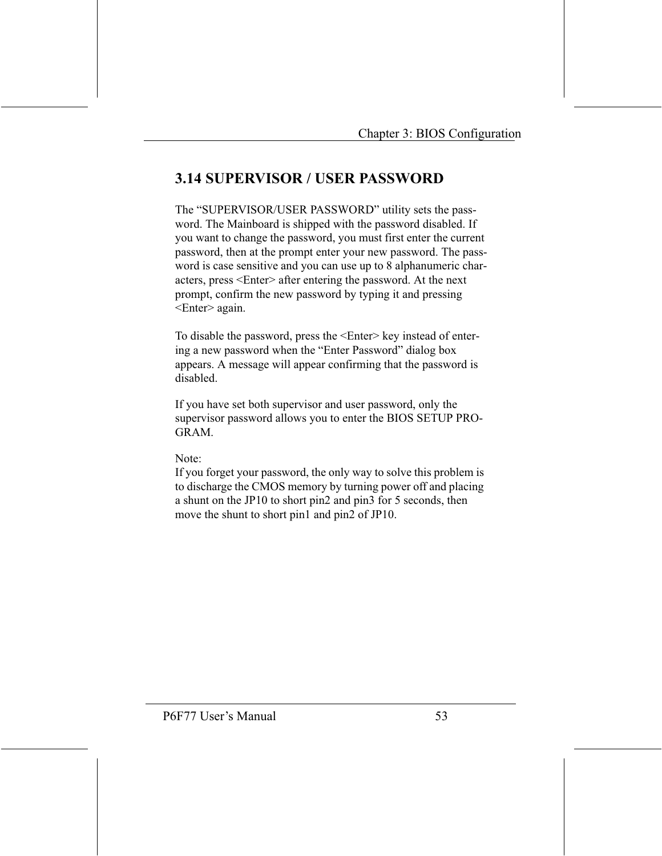### **3.14 SUPERVISOR / USER PASSWORD**

The "SUPERVISOR/USER PASSWORD" utility sets the password. The Mainboard is shipped with the password disabled. If you want to change the password, you must first enter the current password, then at the prompt enter your new password. The password is case sensitive and you can use up to 8 alphanumeric characters, press <Enter> after entering the password. At the next prompt, confirm the new password by typing it and pressing <Enter> again.

To disable the password, press the <Enter> key instead of entering a new password when the "Enter Password" dialog box appears. A message will appear confirming that the password is disabled.

If you have set both supervisor and user password, only the supervisor password allows you to enter the BIOS SETUP PRO-**GRAM** 

 $Note:$ 

If you forget your password, the only way to solve this problem is to discharge the CMOS memory by turning power off and placing a shunt on the JP10 to short pin2 and pin3 for 5 seconds, then move the shunt to short pin1 and pin2 of JP10.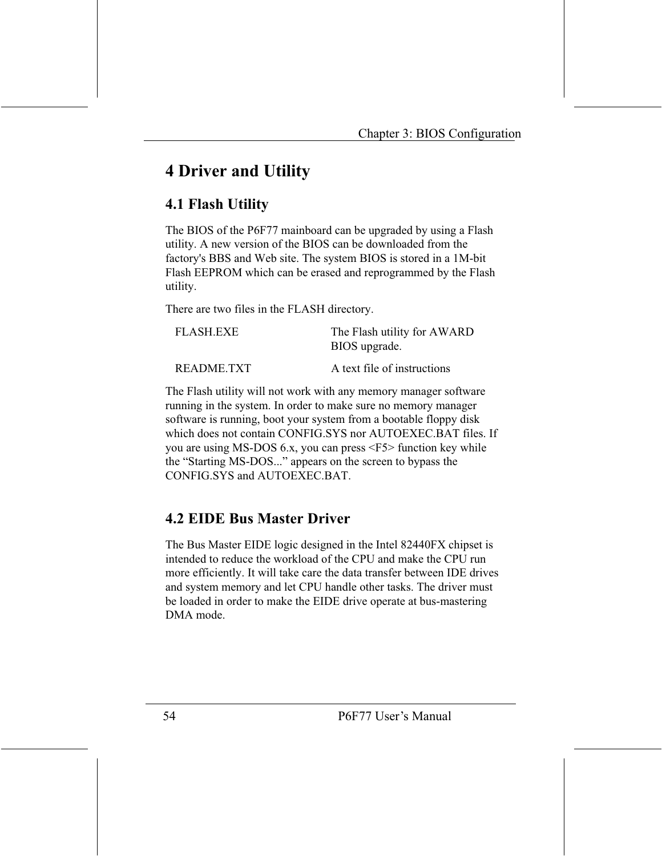# **4 Driver and Utility**

### **4.1 Flash Utility**

The BIOS of the P6F77 mainboard can be upgraded by using a Flash utility. A new version of the BIOS can be downloaded from the factory's BBS and Web site. The system BIOS is stored in a 1M-bit Flash EEPROM which can be erased and reprogrammed by the Flash utility.

There are two files in the FLASH directory.

| <b>FLASH.EXE</b> | The Flash utility for AWARD<br>BIOS upgrade. |
|------------------|----------------------------------------------|
| README.TXT       | A text file of instructions                  |

The Flash utility will not work with any memory manager software running in the system. In order to make sure no memory manager software is running, boot your system from a bootable floppy disk which does not contain CONFIG.SYS nor AUTOEXEC.BAT files. If you are using MS-DOS 6.x, you can press <F5> function key while the "Starting MS-DOS..." appears on the screen to bypass the CONFIG.SYS and AUTOEXEC.BAT.

### **4.2 EIDE Bus Master Driver**

The Bus Master EIDE logic designed in the Intel 82440FX chipset is intended to reduce the workload of the CPU and make the CPU run more efficiently. It will take care the data transfer between IDE drives and system memory and let CPU handle other tasks. The driver must be loaded in order to make the EIDE drive operate at bus-mastering DMA mode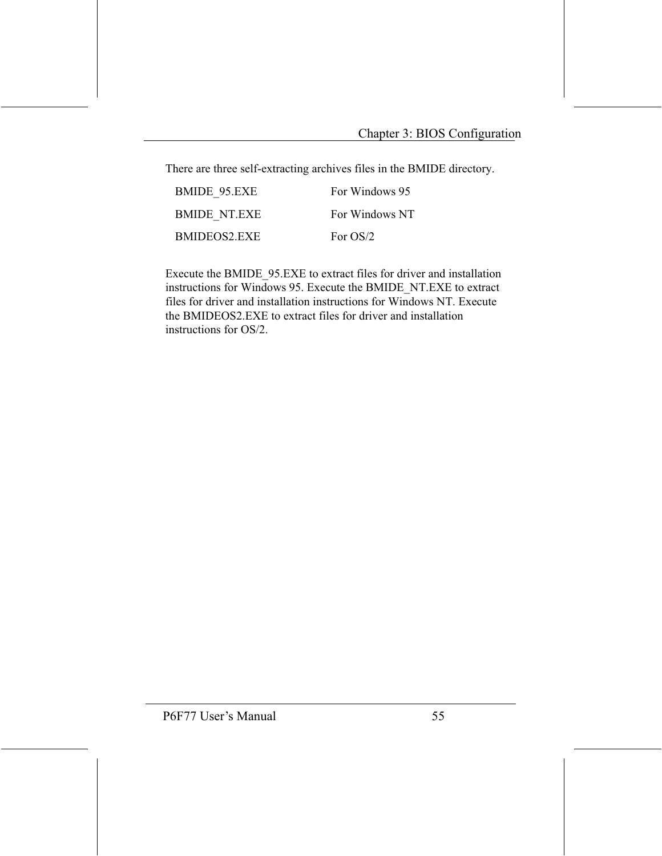There are three self-extracting archives files in the BMIDE directory.

| BMIDE 95.EXE        | For Windows 95 |
|---------------------|----------------|
| <b>BMIDE NT EXE</b> | For Windows NT |
| BMIDEOS2 EXE        | For $OS/2$     |

Execute the BMIDE 95.EXE to extract files for driver and installation instructions for Windows 95. Execute the BMIDE NT.EXE to extract files for driver and installation instructions for Windows NT. Execute the BMIDEOS2.EXE to extract files for driver and installation instructions for OS/2.